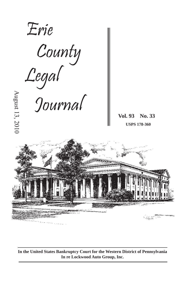

**In the United States Bankruptcy Court for the Western District of Pennsylvania In re Lockwood Auto Group, Inc.**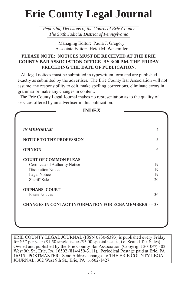# **Erie County Legal Journal**

*Reporting Decisions of the Courts of Erie County The Sixth Judicial District of Pennsylvania*

> Managing Editor: Paula J. Gregory Associate Editor: Heidi M. Weismiller

# **PLEASE NOTE: NOTICES MUST BE RECEIVED AT THE ERIE COUNTY BAR ASSOCIATION OFFICE BY 3:00 P.M. THE FRIDAY PRECEDING THE DATE OF PUBLICATION.**

 All legal notices must be submitted in typewritten form and are published exactly as submitted by the advertiser. The Erie County Bar Association will not assume any responsibility to edit, make spelling corrections, eliminate errors in grammar or make any changes in content.

 The Erie County Legal Journal makes no representation as to the quality of services offered by an advertiser in this publication.

**INDEX**

| <b>COURT OF COMMON PLEAS</b> |  |
|------------------------------|--|
|                              |  |
|                              |  |
|                              |  |
|                              |  |
| <b>ORPHANS' COURT</b>        |  |
|                              |  |

ERIE COUNTY LEGAL JOURNAL (ISSN 0730-6393) is published every Friday for \$57 per year (\$1.50 single issues/\$5.00 special issues, i.e. Seated Tax Sales). Owned and published by the Erie County Bar Association (Copyright 2010©) 302 West 9th St., Erie, PA 16502 (814/459-3111). Periodical Postage paid at Erie, PA 16515. POSTMASTER: Send Address changes to THE ERIE COUNTY LEGAL JOURNAL, 302 West 9th St., Erie, PA 16502-1427.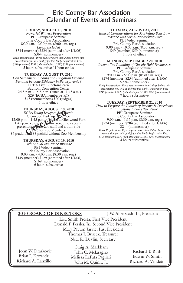# Erie County Bar Association Calendar of Events and Seminars

### **FRIDAY, AUGUST 13, 2010**

*Powerful Witness Preparation*  PBI Groupcast Seminar Erie County Bar Association 8:30 a.m. - 3:30 p.m. (8:00 a.m. reg.) *Lunch Included* \$344 (member) \$324 (admitted after 1/1/06) \$364 (nonmember)

*Early Registration - If you register more than 2 days before this presentation you will qualify for this Early Registration Fee: \$319 (member) \$299 (admitted after 1/1/06) \$339 (nonmember)* 5 hours substantive / 1 hour ethics

### **TUESDAY, AUGUST 17, 2010**

*Can Settlement Funding and Litigation Expense Funding be done Ethically in Pennsylvania?* ECBA Live Lunch-n-Learn Bayfront Convention Center 12:15 p.m. - 1:15 p.m. (lunch at 11:45 a.m.) \$29 (ECBA members/staff) \$45 (nonmembers) \$20 (judges) 1 hour ethics

#### **THURSDAY, AUGUST 19, 2010**

ECBA Young Lawyers Zection<br>
Glenwood Park and Nu-Zoo<br>
12:00 p.m. - 1:45 p.m.<br>
1:45 p.m.<br>
1:45 p.m. - close Complete zoo, enjoy special<br>
presentation<br>
The for Zoo Membership<br>
S4 p/adult and \$3 p/child without Zoo Membership \$4 p/adult and \$3 p/child without Zoo Membership

### **THURSDAY, AUGUST 19, 2010**

*14th Annual Insurance Institute* PBI Video Seminar Erie County Bar Association 9:00 a.m. - 4:00 p.m. (8:30 a.m. reg.) \$149 (member) \$129 (admitted after 1/1/06) \$169 (nonmember) 6 hours substantive

#### **TUESDAY, AUGUST 31, 2010**

*Ethical Considerations for Marketing Your Law Practice with Social Networking Sites* PBI Video Seminar Erie County Bar Association 9:00 a.m. - 10:00 a.m. (8:30 a.m. reg.) \$49 (member) \$59 (nonmember) 1 hour of ethics

#### **MONDAY, SEPTEMBER 20, 2010**

*Income Tax Planning of Closely Held Businesses*  PBI Groupcast Seminar Erie County Bar Association 9:00 a.m. - 5:00 p.m. (8:30 a.m. reg.) \$274 (member) \$254 (admitted after 171/06) \$294 (nonmember)

*Early Registration - If you register more than 2 days before this presentation you will qualify for this Early Registration Fee: \$249 (member) \$229 (admitted after 1/1/06) \$269 (nonmember)* 7 hours substantive

#### **TUESDAY, SEPTEMBER 21, 2010**

*How to Prepare the Fiduciary Income & Decedents Final Lifetime Income Tax Return* PBI Groupcast Seminar Erie County Bar Association 9:00 a.m. - 1:15 p.m. (8:30 a.m. reg.) \$224 (member) \$204 (admitted after 1/1/06) \$244 (nonmember) *Early Registration - If you register more than 2 days before this presentation you will qualify for this Early Registration Fee: \$199 (member) \$179 (admitted after 1/1/06) \$219 (nonmember)* 4 hours substantive

|                                               | 2010 BOARD OF DIRECTORS - J.W. Alberstadt, Jr., President |                     |  |  |  |  |  |
|-----------------------------------------------|-----------------------------------------------------------|---------------------|--|--|--|--|--|
| Lisa Smith Presta, First Vice President       |                                                           |                     |  |  |  |  |  |
| Donald F. Fessler, Jr., Second Vice President |                                                           |                     |  |  |  |  |  |
| Mary Payton Jarvie, Past President            |                                                           |                     |  |  |  |  |  |
| Thomas J. Buseck, Treasurer                   |                                                           |                     |  |  |  |  |  |
| Neal R. Devlin, Secretary                     |                                                           |                     |  |  |  |  |  |
|                                               | Craig A. Markham                                          |                     |  |  |  |  |  |
| John W. Draskovic                             | John C. Melaragno                                         | Richard T. Ruth     |  |  |  |  |  |
| Brian J. Krowicki                             | Melissa LaFata Pagliari                                   | Edwin W. Smith      |  |  |  |  |  |
| Richard A. Lanzillo                           | John M. Quinn, Jr.                                        | Richard A. Vendetti |  |  |  |  |  |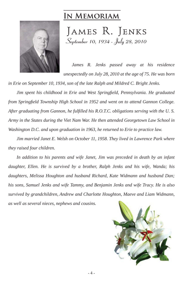# **In Memoriam**



JAMES R. JENKS **September 10, 1934 - July 28, 2010**

*James R. Jenks passed away at his residence unexpectedly on July 28, 2010 at the age of 75. He was born* 

*in Erie on September 10, 1934, son of the late Ralph and Mildred C. Bright Jenks.* 

*Jim spent his childhood in Erie and West Springfield, Pennsylvania. He graduated from Springfi eld Township High School in 1952 and went on to attend Gannon College. After graduating from Gannon, he fulfi lled his R.O.T.C. obligations serving with the U. S. Army in the States during the Viet Nam War. He then attended Georgetown Law School in Washington D.C. and upon graduation in 1963, he returned to Erie to practice law.* 

*Jim married Janet E. Welsh on October 11, 1958. They lived in Lawrence Park where they raised four children.* 

*In addition to his parents and wife Janet, Jim was preceded in death by an infant daughter, Ellen. He is survived by a brother, Ralph Jenks and his wife, Wanda; his daughters, Melissa Houghton and husband Richard, Kate Widmann and husband Dan; his sons, Samuel Jenks and wife Tammy, and Benjamin Jenks and wife Tracy. He is also survived by grandchildren, Andrew and Charlotte Houghton, Maeve and Liam Widmann, as well as several nieces, nephews and cousins.* 

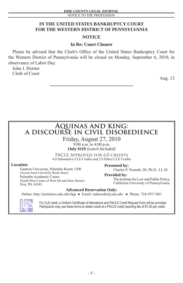- 5 -

# **IN THE UNITED STATES BANKRUPTCY COURT FOR THE WESTERN DISTRICT OF PENNSYLVANIA**

# **NOTICE**

# **In Re: Court Closure**

Please be advised that the Clerk's Office of the United States Bankruptcy Court for the Western District of Pennsylvania will be closed on Monday, September 6, 2010, in observance of Labor Day.

John J. Horner Clerk of Court

Aug. 13

# **Aquinas and king: a discourse in civil disobedience**

Friday, August 27, 2010

9:00 a.m. to 4:00 p.m. **Only \$119** (*Lunch Included)*

PACLE Approved for 6.0 credits 4.0 Substantive CLE Credits and 2.0 Ethics CLE Credits

### **Location:**

Gannon University, Palumbo Room 1200 (Across from University Book Store) Palumbo Academic Center (South West Corner of West 8th and State Streets) Erie, PA 16541

**Presented by:** Charles P. Nemeth, JD, Ph.D., LL.M.

**Provided by:**

 The Institute for Law and Public Policy, California University of Pennsylvania.

# **Advanced Reservation Only:**

Online: http://institutes.calu.edu/ilpp ● Email: mahouski@calu.edu ● Phone: 724-597-7401



For CLE credit, a Uniform Certificate of Attendance and PACLE Credit Request Form will be provided. Participants may use these forms to obtain credit at a PACLE credit reporting fee of \$1.50 per credit.

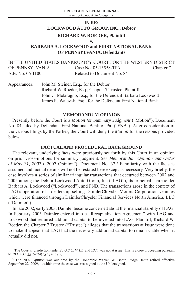# **IN RE: LOCKWOOD AUTO GROUP, INC., Debtor RICHARD W. ROEDER, Plaintiff**

### **v.**

# **BARBARA A. LOCKWOOD and FIRST NATIONAL BANK OF PENNSYLVANIA, Defendants**

IN THE UNITED STATES BANKRUPTCY COURT FOR THE WESTERN DISTRICT OF PENNSYLVANIA Case No. 05-13558-TPA Chapter 7 Adv. No. 06-1100 Related to Document No. 84

Appearances: John M. Steiner, Esq., for the Debtor Richard W. Roeder, Esq., Chapter 7 Trustee, Plaintiff John C. Melaragno, Esq., for the Defendant Barbara Lockwood James R. Walczak, Esq., for the Defendant First National Bank

## **MEMORANDUM OPINION**

Presently before the Court is a *Motion for Summary Judgment* ("Motion"), Document No. 84, filed by Defendant First National Bank of Pa. ("FNB"). After consideration of the various filings by the Parties, the Court will deny the *Motion* for the reasons provided  $below<sup>1</sup>$ 

# **FACTUAL AND PROCEDURAL BACKGROUND**

The relevant, underlying facts were previously set forth by this Court in an opinion on prior cross-motions for summary judgment. *See Memorandum Opinion and Order*  of May 31, 2007 ("2007 Opinion"), Document No. 32.<sup>2</sup> Familiarity with the facts is assumed and factual details will not be restated here except as necessary. Very briefly, the case involves a series of similar triangular transactions that occurred between 2002 and 2005 among the Debtor Lockwood Auto Group, Inc ("LAG"), its principal shareholder Barbara A. Lockwood ("Lockwood"), and FNB. The transactions arose in the context of LAG's operation of a dealership selling DaimlerChrysler Motors Corporation vehicles which were financed through DaimlerChrysler Financial Services North America, LLC ("Daimler").

In late 2002, early 2003, Daimler became concerned about the financial stability of LAG. In February 2003 Daimler entered into a "Recapitalization Agreement" with LAG and Lockwood that required additional capital to be invested into LAG. Plaintiff, Richard W. Roeder, the Chapter 7 Trustee ("Trustee") alleges that the transactions at issue were done to make it appear that LAG had the necessary additional capital to remain viable when it actually did not.

<sup>1</sup> The Court's jurisdiction under *28 U.S.C. §§157* and *1334* was not at issue. This is a core proceeding pursuant to *28 U.S.C. §§157(b)(2)(K)* and *(O).*

<sup>&</sup>lt;sup>2</sup> The 2007 *Opinion* was authored by the Honorable Warren W. Bentz. Judge Bentz retired effective September 22, 2009, at which time the case was reassigned to the Undersigned.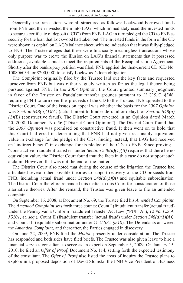Generally, the transactions were all structured as follows: Lockwood borrowed funds from FNB and then invested them into LAG, which immediately used the invested funds to secure a certificate of deposit ("CD") from FNB. LAG in turn pledged the CD to FNB as security for the loan that Lockwood had taken out. The invested funds in the form of the CD were shown as capital on LAG's balance sheet, with no indication that it was fully-pledged to FNB. The Trustee alleges that these were financially meaningless transactions whose only purpose was to create the illusion on LAG's financial statements that it possessed additional, available capital to meet the requirements of the Recapitalization Agreement. Shortly after the bankruptcy petition was filed, FNB applied the then-current CD (CD No. 100806034 for \$200,000) to satisfy Lockwood's loan obligation.

The *Complaint* originally filed by the Trustee laid out the key facts and requested turnover from FNB but was rather vaguely written as far as the legal theory being pursued against FNB. In the *2007 Opinion,* the Court granted summary judgment in favor of the Trustee on fraudulent transfer grounds pursuant to *11 U.S.C. §548,*  requiring FNB to turn over the proceeds of the CD to the Trustee. FNB appealed to the District Court. One of the issues on appeal was whether the basis for the *2007 Opinion* was *Section 548(a)(1)(A)* (actual intent to hinder defraud or delay), or *Section 548(a) (1)(B)* (constructive fraud). The District Court reversed in an Opinion dated March 20, 2008, Document No. 56 ("District Court Opinion"). The District Court found that the *2007 Opinion* was premised on constructive fraud. It then went on to hold that this Court had erred in determining that FNB had not given reasonably equivalent value in exchange for the pledge of the CDs, finding instead, that LAG had received an "indirect benefit" in exchange for its pledge of the CDs to FNB. Since proving a "constructive fraudulent transfer" under *Section 548(a)(1)(B)* requires that there be no equivalent value, the District Court found that the facts in this case do not support such a claim. However, that was not the end of the matter.

The District Court also noted that during the course of the litigation the Trustee had articulated several other possible theories to support recovery of the CD proceeds from FNB, including actual fraud under *Section 548(a)(1)(A)* and equitable subordination. The District Court therefore remanded this matter to this Court for consideration of those alternative theories. After the remand, the Trustee was given leave to file an amended complaint.

On September 16, 2008, at Document No. 69, the Trustee filed his *Amended Complaint*. The *Amended Complaint* sets forth three counts: Count I (fraudulent transfer (actual fraud) under the Pennsylvania Uniform Fraudulent Transfer Act Law ("PUFTA"), *12 Pa. C.S.A. §5101, et. seq.*), Count II (fraudulent transfer (actual fraud) under *Section 548(a)(1)(A)),*  and Count III (equitable subordination under *11 U.S.C. §510*). The Defendants answered the *Amended Complaint,* and thereafter, the Parties engaged in discovery.

On June 22, 2009, FNB filed the *Motion* presently under consideration. The Trustee has responded and both sides have filed briefs. The Trustee was also given leave to hire a financial services consultant to serve as an expert on September 3, 2009. On January 15, 2010, he fi led an *Offer of Proof,* Document No. 114, setting forth the expected testimony of the consultant. The *Offer of Proof* also listed the areas of inquiry the Trustee plans to explore in a proposed deposition of David Slomski, the FNB Vice President of Business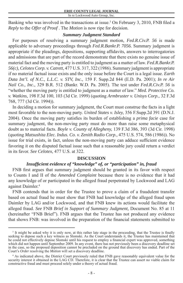Banking who was involved in the transactions at issue.<sup>3</sup> On February 3, 2010, FNB filed a *Reply* to the *Offer of Proof* . The *Motion* is now ripe for decision.

# *Summary Judgment Standard*

For purposes of resolving a summary judgment motion, *Fed.R.Civ.P. 56* is made applicable to adversary proceedings through *Fed.R.Bankr.P. 7056.* Summary judgment is appropriate if the pleadings, depositions, supporting affidavits, answers to interrogatories and admissions that are part of the record demonstrate that there exists no genuine issue of material fact and the moving party is entitled to judgment as a matter of law. *Fed.R.Bankr.P. 56(c), Celotex Corp. v. Catrett,* 477 U.S. 317, 322 (1986). Summary judgment is appropriate if no material factual issue exists and the only issue before the Court is a legal issue. *Earth Data Int'l. of N.C., L.L.C. v. STV, Inc.,* 159 F. Supp.2d 844 (E.D. Pa. 2001); *In re Air Nail Co., Inc.,* 329 B.R. 512 (Bankr. W.D. Pa. 2005). The test under *Fed.R.Civ.P. 56* is "whether the moving party is entitled to judgment as a matter of law." *Med. Protective Co. v. Watkins,* 198 F.3d 100, 103 (3d Cir. 1999) (quoting *Armbruster v. Unisys Corp.,* 32 F.3d 768, 777 (3d Cir. 1994)).

In deciding a motion for summary judgment, the Court must construe the facts in a light most favorable to the non-moving party. *United States v. Isley,* 356 F.Supp.2d 391 (D.N.J. 2004). Once the moving party satisfies its burden of establishing a *prima facie* case for summary judgment, the non-moving party must do more than raise some metaphysical doubt as to material facts. *Boyle v. County of Allegheny,* 139 F.3d 386, 393 (3d Cir. 1998) (quoting *Matsushita Elec. Indus. Co. v. Zenith Radio Corp.,* 475 U.S. 574, 586 (1986)). No issue for trial exists, in fact, unless the non-moving party can adduce sufficient evidence favoring it on the disputed factual issue such that a reasonable jury could return a verdict in its favor. *See Celotex,* 477 U.S. at 322.

# **DISCUSSION**

# *Insuffi cient evidence of "knowledge" of, or "participation" in, fraud*

FNB first argues that summary judgment should be granted in its favor with respect to Counts I and II of the *Amended Complaint* because there is no evidence that it had any knowledge of or participated in the alleged fraud perpetrated by Lockwood and LAG against Daimler.4

FNB contends that in order for the Trustee to prove a claim of a fraudulent transfer based on actual fraud he must show that FNB had knowledge of the alleged fraud upon Daimler by LAG and/or Lockwood, and that FNB knew its actions would facilitate the alleged fraud. *See* FNB *Brief in Support of Summary Judgment,* Document No. 85 at 11 (hereinafter "FNB Brief"). FNB argues that the Trustee has not produced any evidence that shows FNB: was involved in the preparation of the financial statements submitted to

<sup>&</sup>lt;sup>3</sup> It might be asked why it is only now, at this rather late stage in the proceeding, that the Trustee is finally seeking to depose such a key witness as Slomski. As the Court understands it, the Trustee has maintained that he could not effectively depose Slomski until his request to employ a financial expert was approved, something which did not happen until September 2009. In any event, there has not previously been a discovery deadline set in the case, so the proposed deposition cannot be precluded on the ground that discovery has ended. Part of the Court's *Order* resolving the *Motion* will set a discovery deadline.

<sup>4</sup> As indicated above, the District Court previously ruled that FNB gave reasonably equivalent value for the security interest it obtained in the LAG CD. Therefore, it is clear that the Trustee can assert no viable claim for constructive fraud and must proceed solely under a theory of actual fraud.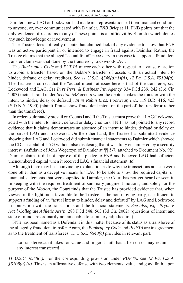Daimler; knew LAG or Lockwood had made misrepresentations of their financial condition to anyone; or, ever communicated with Daimler. *FNB Brief* at 11. FNB points out that the only evidence of record as to any of these points is an affidavit by Slomski which denies any such knowledge or involvement.

The Trustee does not really dispute that claimed lack of any evidence to show that FNB was an active participant in or intended to engage in fraud against Daimler. Rather, the Trustee claims that the alleged "actual fraud" necessary in this case to support a fraudulent transfer claim was that done by the transferor, Lockwood/LAG.

The *Bankruptcy Code* and *PUFTA* mirror each other with respect to a cause of action to avoid a transfer based on the Debtor's transfer of assets with an actual intent to hinder, defraud or delay creditors. *See 11 U.S.C. §548(a)(1)(A), 12 Pa. C.S.A. §5104(a).*  The Trustee is correct that the "actual intent" at issue here is that of the transferor, *i.e.,*  Lockwood and LAG. *See In re Pers. & Business Ins. Agency,* 334 F.3d 239, 242 (3rd Cir. 2003) (actual fraud under *Section 548* occurs when the debtor makes the transfer with the intent to hinder, delay or defraud); *In re Rubin Bros. Footwear, Inc.,* 119 B.R. 416, 423 (S.D.N.Y. 1990) (plaintiff must show fraudulent intent on the part of the transferor rather than the transferee).

In order to ultimately prevail on Counts I and II the Trustee must prove that LAG/Lockwood acted with the intent to hinder, defraud or delay creditors. FNB has not pointed to any record evidence that it claims demonstrates an absence of an intent to hinder, defraud or delay on the part of LAG and Lockwood. On the other hand, the Trustee has submitted evidence showing that LAG and Lockwood did submit financial statements to Daimler which showed the CD as capital of LAG without also disclosing that it was fully encumbered by a security interest. (Affidavit of John Wegerzyn of Daimler at ¶ 5-7, attached to Document No. 92). Daimler claims it did not approve of the pledge to FNB and believed LAG had sufficient unencumbered capital when it received LAG's financial statement. *Id.* 

Although there may be a convincing explanation as to why the transactions at issue were done other than as a deceptive means for LAG to be able to show the required capital on financial statements that were supplied to Daimler, the Court has not yet heard or seen it. In keeping with the required treatment of summary judgment motions, and solely for the purpose of the *Motion*, the Court finds that the Trustee has provided evidence that, when viewed in the light most favorable to the Trustee as the non-moving party, is sufficient to support a finding of an "actual intent to hinder, delay and defraud" by LAG and Lockwood in connection with the transactions and the financial statements. *See also, e.g., Pryor v. Nat'l Collegiate Athletic Ass'n,* 288 F.3d 548, 563 (3d Cir. 2002) (questions of intent and state of mind are ordinarily not amenable to summary adjudication).

FNB has been named as a Defendant in this matter because of its status as a transferee of the allegedly fraudulent transfer. Again, the *Bankruptcy Code* and *PUFTA* are in agreement as to the treatment of transferees. *11 U.S.C. §548(c)* provides in relevant part:

...a transferee...that takes for value and in good faith has a lien on or may retain any interest transferred ...

*11 U.S.C. §548(c).* For the corresponding provision under *PUFTA, see 12 Pa. C.S.A.*   $\frac{0.85108(a)}{0.4}$ . This is an affirmative defense with two elements, value and good faith, upon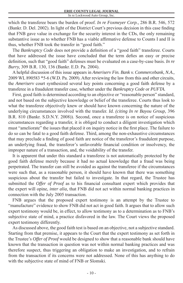which the transferee bears the burden of proof. *In re Foxmeyer Corp.,* 286 B.R. 546, 572 (Bankr. D. Del. 2002). In light of the District Court's previous decision in this case finding that FNB gave value in exchange for the security interest in the CDs, the only remaining substantive issue as to whether FNB has a viable affirmative defense to Counts I and II is thus, whether FNB took the transfer in "good faith."

The *Bankruptcy Code* does not provide a definition of a "good faith" transferee. Courts that have addressed the issue have concluded that the term defies an easy or precise definition, such that "good faith" defenses must be evaluated on a case-by-case basis. *In re Burry,* 309 B.R. 130, 136 (Bankr. E.D. Pa. 2004).

A helpful discussion of this issue appears in *Ameriserv Fin. Bank v. Commercebank, N.A.,* 2009 WL 890583 \*5-6 (W.D. Pa. 2009). After reviewing the law from this and other circuits, the *Ameriserv* court synthesized several key points concerning a good faith defense by a transferee in a fraudulent transfer case, whether under the *Bankruptcy Code* or *PUFTA.*

First, good faith is determined according to an objective or "reasonable person" standard, and not based on the subjective knowledge or belief of the transferee. Courts thus look to what the transferee objectively knew or should have known concerning the nature of the underlying circumstances involved with the transfer. *Id. (citing In re Bayou Group,* 396 B.R. 810 (Bankr. S.D.N.Y. 2008)). Second, once a transferee is on notice of suspicious circumstances regarding a transfer, it is obliged to conduct a diligent investigation which must "ameliorate" the issues that placed it on inquiry notice in the first place. The failure to do so can be fatal to a good faith defense. Third, among the non-exhaustive circumstances that may preclude a finding of good faith are notice of the transferor's fraudulent purpose, an underlying fraud, the transferor's unfavorable financial condition or insolvency, the improper nature of a transaction, and, the voidability of the transfer.

It is apparent that under this standard a transferee is not automatically protected by the good faith defense merely because it had no actual knowledge that a fraud was being perpetrated. The transfer can still be avoided as against the transferee if the circumstances were such that, as a reasonable person, it should have known that there was something suspicious about the transfer but failed to investigate. In that regard, the Trustee has submitted the *Offer of Proof* as to his financial consultant expert which provides that the expert will opine, *inter alia,* that FNB did not act within normal banking practices in connection with the July 2005 transaction.

FNB argues that the proposed expert testimony is an attempt by the Trustee to "manufacture" evidence to show FNB did not act in good faith. It argues that to allow such expert testimony would be, in effect, to allow testimony as to a determination as to FNB's subjective state of mind, a practice disfavored in the law. The Court views the proposed expert testimony differently.

As discussed above, the good faith test is based on an objective, not a subjective standard. Starting from that premise, it appears to the Court that the expert testimony as set forth in the Trustee's *Offer of Proof* would be designed to show that a reasonable bank should have known that the transaction in question was not within normal banking practices and was therefore suspect, thus triggering an obligation to make an investigation, and to refrain from the transaction if its concerns were not addressed. None of this has anything to do with the subjective state of mind of FNB or Slomski.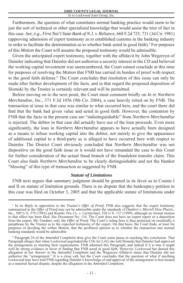Furthermore, the question of what constitutes normal banking practice would seem to be just the sort of technical or other specialized knowledge that would assist the trier of fact in this case. *See, e.g., First Nat'l State Bank of N.J. v. Reliance,* 668 F.2d 725, 731 (3d Cir. 1981) (approving admission of expert testimony as to established customs in the banking industry in order to facilitate the determination as to whether bank acted in good faith).<sup>5</sup> For purposes of this *Motion* the Court will assume the proposed testimony would be admissible.

Given the anticipated expert testimony, together with the affidavit by John Wegerzyn of Daimler indicating that Daimler did not authorize a security interest in the CD and believed the working capital investment was unencumbered, the Court cannot conclude at this time for purposes of resolving the *Motion* that FNB has carried its burden of proof with respect to the good faith defense.<sup>6</sup> The Court concludes that resolution of this issue can only be made after further development of the facts, and in that regard the proposed deposition of Slomski by the Trustee is certainly relevant and will be permitted.

Before moving on to the next point, the Court must comment briefly on *In re Northern Merchandise, Inc.,* 371 F.3d 1056 (9th Cir. 2004), a case heavily relied on by FNB. The transaction at issue in that case was similar to what occurred here, and the court there did find that the bank had given value and acted in good faith. However, the contention by FNB that the facts in the present case are "indistinguishable" from *Northern Merchandise*  is rejected. The debtor in that case did actually have use of the loan proceeds. Even more significantly, the loan in *Northern Merchandise* appears to have actually been designed as a means to infuse working capital into the debtor, not merely to give the appearance of additional capital to a third-party as is alleged to have occurred here with respect to Daimler. The District Court obviously concluded that *Northern Merchandise* was not dispositive on the good faith issue or it would not have remanded the case to this Court for further consideration of the actual fraud branch of the fraudulent transfer claim. This Court also finds *Northern Merchandise* to be clearly distinguishable and not the blanket "blessing" of this type of transaction as suggested by FNB.

# *Statute of Limitations*

FNB next argues that summary judgment should be granted in its favor as to Counts I and II on statute of limitation grounds. There is no dispute that the bankruptcy petition in this case was filed on October 3, 2005 and that the applicable statute of limitations under

<sup>&</sup>lt;sup>5</sup> In its *Reply* in opposition to the Trustee's *Offer of Proof*, FNB also suggests that the expert testimony summarized in the *Offer of Proof* may not be admissible under the standards of *Daubert v. Merrell Dow Pharm., Inc.,* 509 U.S. 579 (1993) and *Kumho Tire Co. v. Carmichael,* 526 U.S. 137 (1999), although no formal motion to that effect has been filed. See Document No. 116. The Court does not have an expert report or a deposition from the expert, Mr. Gardner, only the *Offer of Proof.* The Court's ruling here is thus premised on essentially a paraphrase by the Trustee as to the expected testimony of the expert. On that basis, the Court finds, at least for purposes of deciding the within *Motion,* that the proffered opinion as to whether the transaction met normal banking standards would be admissible.

<sup>6</sup> Paragraph 24 of the *Amended Complaint* does give the Court some pause in reaching this conclusion. That Paragraph alleges that when Lockwood negotiated the CDs for LAG she told Slomski that Daimler had approved the arrangement as meeting their requirements. FNB admitted this Paragraph, and indeed if it is true it might well be strong evidence in favor of finding that FNB acted in good faith. However, Lockwood has denied this allegation in her *Answer* to the *Amended Complaint* and the Wegerzyn Affidavit states that Daimler did not authorize the "arrangement." It is a close call, but the Court concludes that the question of what if anything Lockwood may have told FNB regarding Daimler's knowledge of and approval of the arrangement is best treated as a material factual dispute, despite the allegation in the *Amended Complaint.*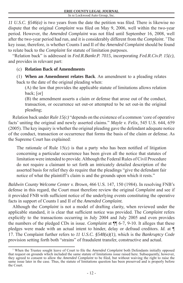*11 U.S.C. §546(a)* is two years from the date the petition was filed. There is likewise no dispute that the original *Complaint* was filed on May 9, 2006, well within the two-year period. However, the *Amended Complaint* was not filed until September 16, 2008, well after the two-year period had run, and it is considerably different from the *Complaint*. 7 The key issue, therefore, is whether Counts I and II of the *Amended Complaint* should be found to relate back to the *Complaint* for statute of limitation purposes.

"Relation back" is addressed in *Fed.R.Bankr.P. 7015,* incorporating *Fed.R.Civ.P. 15(c),* and provides in relevant part:

(c) **Relation Back of Amendments**

(1) **When an Amendment relates Back**. An amendment to a pleading relates back to the date of the original pleading when:

(A) the law that provides the applicable statute of limitations allows relation back; [or]

(B) the amendment asserts a claim or defense that arose out of the conduct, transaction, or occurrence set out-or attempted to be set out-in the original pleading;

Relation back under *Rule 15(c)* "depends on the existence of a common 'core of operative facts' uniting the original and newly asserted claims." *Mayle v. Felix,* 545 U.S. 644, 659 (2005). The key inquiry is whether the original pleading gave the defendant adequate notice of the conduct, transaction or occurrence that forms the basis of the claim or defense. As the Supreme Court has explained:

The rationale of Rule  $15(c)$  is that a party who has been notified of litigation concerning a particular occurrence has been given all the notice that statutes of limitation were intended to provide. Although the Federal Rules of Civil Procedure do not require a claimant to set forth an intricately detailed description of the asserted basis for relief they do require that the pleadings "give the defendant fair notice of what the plaintiff's claim is and the grounds upon which it rests."

*Baldwin County Welcome Center v. Brown,* 466 U.S. 147, 150 (1984). In resolving FNB's defense in this regard, the Court must therefore review the original *Complaint* and see if it provided FNB with sufficient notice of the underlying events constituting the operative facts in support of Counts I and II of the *Amended Complaint.*

Although the *Complaint* is not a model of drafting clarity, when reviewed under the applicable standard, it is clear that sufficient notice was provided. The *Complaint* refers explicitly to the transactions occurring in July 2004 and July 2005 and even provides the numbers of the pledged CDs in issue. *Complaint* at ¶¶ 6-7, 9-10. It alleges that these pledges were made with an actual intent to hinder, delay or defraud creditors. *Id.* at ¶ 17. The Complaint further refers to *11 U.S.C. §548(a)(1),* which is the *Bankruptcy Code*  provision setting forth both "strains" of fraudulent transfer, constructive and actual.

<sup>&</sup>lt;sup>7</sup> When the Trustee sought leave of Court to file the *Amended Complaint* both Defendants initially opposed that request on grounds which included the same statute of limitations issue raised here. Subsequently, however, they agreed to consent to allow the *Amended Complaint* to be filed, but without waiving the right to raise the same issue later in the case. Thus, the statute of limitations question has been preserved and is properly before the Court.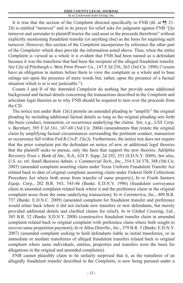It is true that the section of the *Complaint* directed specifically to FNB (*Id.* at  $\P$  1. 24) is entitled "turnover" and in its prayer for relief asks for judgment against FNB '[t]o turnover and surrender to plaintiff trustee the said asset or the proceeds therefrom" without explicitly mentioning fraudulent transfer (or anything else) as the basis for requiring such turnover. However, this section of the *Complaint* incorporates by reference the other part of the *Complaint*–which does provide the information noted above. Thus, when the entire *Complaint* is viewed as a whole it is evident that FNB had been named as a defendant because it was the transferee that had been the recipient of the alleged fraudulent transfer. *See City of Pittsburgh v. West Penn Power Co.,* 147 F.3d 256, 263 (3rd Cir. 1998) ("courts have an obligation in matters before them to view the complaint as a whole and to base rulings not upon the presence of mere words but, rather, upon the presence of a factual situation which is or is not justiciable.").

Counts I and II of the *Amended Complaint* do nothing but provide some additional background and factual details concerning the transactions described in the *Complaint* and articulate legal theories as to why FNB should be required to turn over the proceeds from the CD.

The notice test under *Rule 15(c)* permits an amended pleading to "amplify" the original pleading by including additional factual details so long as the original pleading sets forth the basic conduct, transaction, or occurrence underlying the claims. *See, e.g., USX Corp. v. Barnhart,* 395 F.3d 161, 167-68 (3rd Cir. 2004) (amendments that restate the original claim by amplifying factual circumstances surrounding the pertinent conduct, transaction or occurrence fall within *Fed.R.Civ.P. 15(c)*). Furthermore, the notice test does not require that the prior complaint put the defendant on notice of new or additional legal theories that the plaintiff seeks to pursue, only the facts that support the new theories. *Adelphia Recovery Trust v. Bank of Am., N.A.,* 624 F. Supp. 2d 292, 333 (S.D.N.Y. 2009). *See also, U.S. ex. rel. Small Business Admin. v. Commercial Tech., Inc.,* 354 F.3d 378, 388 (5th Cir. 2003) (amended complaint asserting claim under Texas Uniform Fraudulent Transfer Act related back to date of original complaint asserting claim under Federal Debt Collections Procedure Act where both arose from transfer of same property); *In re Frank Santora Equip. Corp.,* 202 B.R. 543, 545-46 (Bankr. E.D.N.Y. 1996) (fraudulent conveyance claim in amended complaint related back where it and the preference claim in the original complaint arose from the same underlying transaction); *In re Caremerica, Inc.,* 409 B.R. 737 (Bankr. E.D.N.C. 2009) (amended complaint for fraudulent transfer and preference would relate back where it did not include new transfers or new defendants, but merely provided additional details and clarified claims for relief); *In re Global Crossing, Ltd.*, 385 B.R. 52 (Bankr. S.D.N.Y. 2008) (constructive fraudulent transfer claim in amended complaint related back to original complaint with preference claim where both sought to recover same prepetition payment); *In re Allou Distribs., Inc.,* 379 B.R. 5 (Bankr. E.D.N.Y. 2007) (amended complaint seeking to hold defendants liable as initial transferees, or as immediate or mediate transferees of alleged fraudulent transfers related back to original complaint where same individuals, entities, properties and transfers were the basis for allegations in the original and amended complaints).

FNB cannot plausibly claim to be unfairly surprised that it, as the transferee of an allegedly fraudulent transfer described in the *Complaint,* is now being pursued under a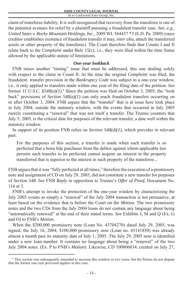claim of transferee liability. It is well-recognized that recovery from the transferee is one of the potential avenues for relief by a plaintiff pursuing a fraudulent transfer case. *See, e.g., United Sates v. Rocky Mountain Holdings, Inc.,* 2009 WL 564437 \*3 (E.D. Pa. 2009) (once creditor establishes existence of fraudulent transfer it may, *inter alia,* attach the transferred assets or other property of the transferee). The Court therefore finds that Counts I and II relate back to the *Complaint* under *Rule 15(c)*, i.e., they were filed within the time frame allowed by the applicable statute of limitations.

# *One-year lookback*

FNB raises another "timing" issue that must be addressed, this one dealing solely with respect to the claim in Count II. At the time the original *Complaint* was filed, the fraudulent transfer provision in the *Bankruptcy Code* was subject to a one-year window, *i.e.*, it only applied to transfers made within one year of the filing date of the petition. See former *11 U.S.C.*  $$548(a)(1)$ .<sup>8</sup> Since the petition was filed on October 3, 2005, the "look" back" provisions of *Section 548(a)(1)* can only reach fraudulent transfers occurring on or after October 3, 2004. FNB argues that the "transfer" that is at issue here took place in July 2004, outside the statutory window, with the events that occurred in July 2005 merely constituting a "renewal" that was not itself a transfer. The Trustee counters that July 5, 2005, is the critical date for purposes of the relevant transfer, a date well within the statutory window.

In support of its position FNB relies on *Section 548(d)(1),* which provides in relevant part:

For the purposes of this section, a transfer is made when such transfer is so perfected that a bona fide purchaser from the debtor against whom applicable law permits such transfer to be perfected cannot acquire an interest in the property transferred that is superior to the interest in such property of the transferee...

FNB argues that it was "fully perfected at all times," therefore the execution of a promissory note and assignment of CD on July 29, 2005, did not constitute a new transfer for purposes of *Section 548. See* FNB *Reply* in opposition to Trustee's *Offer of Proof,* Document No. 116 at 3.

FNB's attempt to invoke the protection of the one-year window by characterizing the July 2005 events as simply a "renewal" of the July 2004 transaction is not persuasive, at least based on the evidence that is before the Court on the *Motion.* The two promissory notes and the two CDs from the July 2004 loans do not contain any language about being "automatically renewed" at the end of their stated terms. *See* Exhibits J, M and Q (Ex. G and O) to FNB's *Motion.*

When the \$200,000 promissory note (Loan No. 43704270) dated July 29, 2005, was signed, the July 16, 2004, \$100,000 promissory note (Loan no. 43141850) was already almost a month past its maturity date of July 1, 2005. The July 29, 2005 note is identified under a new loan number. It contains no language about being a "renewal" of the two July 2004 notes. (Ex. P to FNB's *Motion*). Likewise, CD 100806034, created on July 27,

<sup>&</sup>lt;sup>8</sup> This section was subsequently amended to increase this window to two years, but the Parties do not dispute that the former one-year provision applies in this case.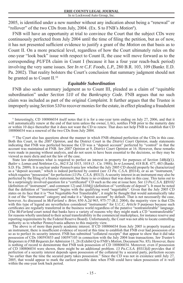2005, is identified under a new number without any indication about being a "renewal" or "rollover" of the two CDs from July, 2004. (Ex. S to FNB's *Motion*<sup>9</sup>).

FNB will have an opportunity at trial to convince the Court that the subject CDs were continuously perfected from July 2004 until the time of filing the petition, but as of now, it has not presented sufficient evidence to justify a grant of the *Motion* on that basis as to Count II. On a more practical level, regardless of how the Court ultimately rules on the one-year "look back" issue with respect to Count II, the case will move forward as to the corresponding *PUFTA* claim in Count I (because it has a four year reach-back period) involving the very same issues. *See In re C.F. Foods, L.P.,* 280 B.R. 103, 109 (Bankr. E.D. Pa. 2002). That reality bolsters the Court's conclusion that summary judgment should not be granted as to Count II.<sup>10</sup>

## *Equitable Subordination*

FNB also seeks summary judgment as to Count III, pleaded as a claim of "equitable subordination" under *Section 510* of the *Bankruptcy Code.* FNB argues that no such claim was included as part of the original *Complaint.* It further argues that the Trustee is improperly using *Section 510* to recover monies for the estate, in effect pleading a fraudulent

State law determines what is required to perfect an interest in property for purposes of *Section 548(d)(1). Butler v. Lomas and Nettleton Co.,* 862 F.2d 1015, 1018 (3 . Cir. 1988); *In re Leonard,* 418 B.R. 477, 483 (Bankr. S.D. Fla. 2009). It is unclear under Pennsylvania law whether the July 2005 CD should properly be characterized as a "deposit account," which is indeed perfected by control (*see 13 Pa. C.S.A. §9314*), or as an "instrument," which requires "possession" for perfection (13 Pa. C.S.A. §9313). A security interest in an instrument may also be perfected by the filing of a finance statement, but there is no evidence that was done in this case. This turns out to be a surprisingly involved question for a "certificated" CD such as the one at issue here. *See 13 Pa.C.S.A. §§9102* (definition of "instrument", and comment 12) and  $3104(j)$  (definition of "certificate of deposit"). It must be noted that the definition of "instrument" begins with the qualifying word "negotiable". Given that the July 2005 CD states on its face that it is "Not Negotiable-Not Transferable", it might be thought that would automatically take it out of the "instrument" category and make it a "deposit account" by default. That is not necessarily the case, however. As discussed in *McFarland v. Brier,* 850 A.2d 965, 975-77 (R.I. 2004), the majority view is that CDs with this type of legend are nevertheless considered "instruments" for *U.C.C. Article 9* purposes because such certificates are regularly transferred in the business world regardless of the putative "nontransferable" language. (The *McFarland* court noted that banks have a variety of reasons why they might mark a CD "nontransferable" for reasons wholly unrelated to their actual transferability in the commercial marketplace, for instance reserve and reporting requirements by the Federal Reserve Board). Unfortunately, the Court was not able to locate controlling authority as to whether Pennsylvania adheres to this majority view.

The above is of more than purely academic interest. If CD 100806034 from July 2005 is properly treated as an instrument, there is insufficient evidence of record at this time to establish that FNB ever had possession of it so as to perfect its security interest. FNB has submitted "collateral receipts" that appear to show that it did take possession of CDs 100593853 and 100597105 in connection with the July 2004 loan transactions. *See Trustee's Responses to FNB Requests for Admission* 11, 26 (Exhibit Q to FNB's *Motion*, Document No. 85). However, there is nothing of record to demonstrate that FNB took possession of CD 100806034. Moreover, even if possession of CD 100806034 were shown, there might be an additional problem. *13 Pa.C.S.A. §9313(d)* provides that if perfection of a security interest depends upon possession of the collateral by a secured party, perfection occurs "no earlier than the time the secured party takes possession." Since the CD was not in existence until July 27, 2005, that would appear to mark the earliest possible date when FNB could have taken possession of it–well within the one-year look back period.

<sup>9</sup> Interestingly, CD 100806034 itself notes that it is for a one-year term ending on July 27, 2006, and that it will automatically renew at the end of that term unless the owner, LAG, notifies FNB prior to the maturity date or within 10 days thereafter that it does not want the CD to renew. That does not help FNB to establish that CD 100806034 was a renewal of the two CDs from July 2004.

<sup>&</sup>lt;sup>10</sup> The Court also has questions about the manner in which FNB obtained perfection of the CDs in this case. Both this Court, in the *2007 Opinion*, and the District Court in the *District Court Opinion*, made statements indicating that FNB was perfected because the CD was a "deposit account" perfected by "control" in that the account was maintained at FNB. *See 2007 Opinion* at 9, *District Court Opinion* at 16. However, these remarks were made in passing without analysis, and do not seem to have been essential to the decisions, so they may be viewed as mere dicta and not the law of the case.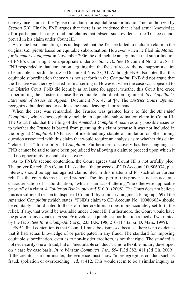conveyance claim in the "guise of a claim for equitable subordination" not authorized by *Section 510.* Finally, FNB argues that there is no evidence that it had actual knowledge of or participated in any fraud and claims that, absent such evidence, the Trustee cannot prevail in his claim under Count III.

As to the first contention, it is undisputed that the Trustee failed to include a claim in the original *Complaint* based on equitable subordination. However, when he filed his *Motion for Summary Judgment* in November 2006, he did include an argument that subordination of FNB's claim might be appropriate under *Section 510. See* Document No. 25 at 8-11. FNB responded to that contention, arguing that the facts of record did not support a claim of equitable subordination. *See* Document Nos. 28, 31. Although FNB also noted that this equitable subordination theory was not set forth in the *Complaint,* FNB did not argue that the Trustee was thereby barred from asserting it. However, when the case was appealed to the District Court, FNB did identify as an issue for appeal whether this Court had erred in permitting the Trustee to raise the equitable subordination argument. *See Appellant's Statement of Issues on Appeal,* Document No. 47 at ¶4. The *District Court Opinion*  recognized but declined to address the issue, leaving it for remand.

When the case was remanded, the Trustee was granted leave to file the *Amended Complaint,* which does explicitly include an equitable subordination claim in Count III. The Court finds that the filing of the *Amended Complaint* resolves any possible issue as to whether the Trustee is barred from pursuing this claim because it was not included in the original *Complaint*. FNB has not identified any statute of limitation or other timing question associated with this claim that would require an analysis as to whether this claim "relates back" to the original *Complaint.* Furthermore, discovery has been ongoing, so FNB cannot be said to have been prejudiced by allowing a claim to proceed upon which it had no opportunity to conduct discovery.

As to FNB's second contention, the Court agrees that Count III is not artfully pled. The prayer for relief in Count III asks that "the proceeds of CD Account 100806034, plus interest, should be applied against claims filed in this matter and for such other further relief as the court deems just and proper." The first part of this prayer is not an accurate characterization of "subordination," which is an act of altering "the otherwise applicable priority" of a claim. 4 *Collier on Bankruptcy* at ¶ 510.01 (2008). The Court does not believe this is a sufficient reason to dispose of Count III by summary judgment. Paragraph 69 of the *Amended Complaint* (which states: "FNB's claim to CD Account No. 100806034 should be equitably subordinated to those of other creditors") does more accurately set forth the relief, if any, that would be available under Count III. Furthermore, the Court would have the power in any event to *sua sponte* invoke an equitable subordination remedy if warranted by the facts. *See In re Clamp-All Corp.,* 233 B.R. 198, 210-11 (Bankr. D. Mass. 1999).

FNB's final contention is that Count III must be dismissed because there is no evidence that it had actual knowledge of or participated in any fraud. The standard for imposing equitable subordination, even as to non-insider creditors, is not that rigid. The standard is not necessarily one of fraud, but of "inequitable conduct", a more flexible inquiry developed on a case by case basis. *In re Winstar Commuc's, Inc.,* 554 F.3d 382, 411 (3d Cir. 2009). If the creditor is a non-insider, the evidence must show "more egregious conduct such as fraud, spoliation or overreaching." *Id.* at 412. This would seem to be a similar inquiry as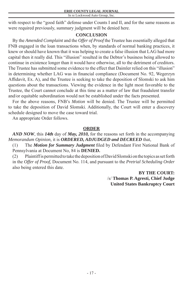with respect to the "good faith" defense under Counts I and II, and for the same reasons as were required previously, summary judgment will be denied here.

# **CONCLUSION**

By the *Amended Complaint* and the *Offer of Proof* the Trustee has essentially alleged that FNB engaged in the loan transactions when, by standards of normal banking practices, it knew or should have known that it was helping to create a false illusion that LAG had more capital then it really did. This "illusion" resulted in the Debtor's business being allowed to continue in existence longer than it would have otherwise, all to the detriment of creditors. The Trustee has submitted some evidence to the effect that Daimler relied on this "illusion" in determining whether LAG was in financial compliance (Document No. 92, Wegerzyn Affidavit, Ex. A), and the Trustee is seeking to take the deposition of Slomski to ask him questions about the transactions. Viewing the evidence in the light most favorable to the Trustee, the Court cannot conclude at this time as a matter of law that fraudulent transfer and/or equitable subordination would not be established under the facts presented.

For the above reasons, FNB's *Motion* will be denied. The Trustee will be permitted to take the deposition of David Slomski. Additionally, the Court will enter a discovery schedule designed to move the case toward trial.

An appropriate Order follows.

# **ORDER**

*AND NOW*, this *14th* day of *May, 2010,* for the reasons set forth in the accompanying *Memorandum Opinion,* it is *ORDERED, ADJUDGED and DECREED* that,

(1) The *Motion for Summary Judgment* filed by Defendant First National Bank of Pennsylvania at Document No, 84 is **DENIED.**

(2) Plaintiff is permitted to take the deposition of David Slomski on the topics as set forth in the *Offer of Proof,* Document No. 114, and pursuant to the *Pretrial Scheduling Order*  also being entered this date.

> **BY THE COURT:** /s/ **Thomas P. Agresti, Chief Judge United States Bankruptcy Court**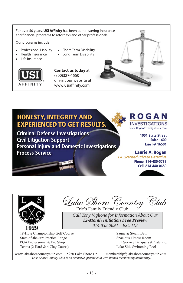For over 50 years, **USI Affinity** has been administering insurance and financial programs to attorneys and other professionals.

Our programs include:

- x Professional Liability
	- Health Insurance
- x Life Insurance



**Contact us today** at (800)327-1550 or visit our website at www.usiaffinity.com

x Short-Term Disability x Long Term Disability



# **HONESTY, INTEGRITY AND EXPERIENCED TO GET RESULTS.**

**Criminal Defense Investigations Civil Litigation Support Personal Injury and Domestic Investigations Process Service** 



1001 State Street **Suite 1400 Erie, PA 16501** 

# **Laurie A. Rogan**

**PA Licensed Private Detective** Phone: 814-480-5788 Cell: 814-440-0680





Lake *Shove* Country Club

*Call Tony Viglione for Information About Our 12-Month Initiation Free Preview 814.833.0894 Ext. 113*

18-Hole Championship Golf Course State-of-the-Art Practice Range PGA Professional & Pro Shop Tennis (2 Hard & 4 Clay Courts)

Sauna & Steam Bath Spacious Fitness Room Full Service Banquets & Catering Lake Side Swimming Pool

www.lakeshorecountryclub.com 5950 Lake Shore Dr. membership@lakeshorecountryclub.com *Lake Shore Country Club is an exclusive, private club with limited membership availability.*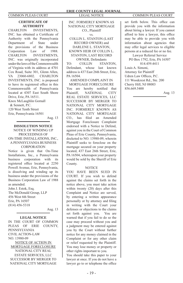### **CERTIFICATE OF AUTHORITY**

CHARLTON INVESTMENTS, INC. has obtained a Certificate of Authority with the Pennsylvania Department of State under the provisions of the Business Corporation Law of 1988. CHARLTON INVESTMENTS, INC. was originally incorporated under the laws of the Commonwealth of Virginia with its address at 4701 Cox Road, Suite 301, Glenn Allen, VA 23060-6802. CHARLTON INVESTMENTS, INC. is proposed to have its registered office in this Commonwealth of Pennsylvania located at 4307 East South Shore Drive, Erie, PA 16511. Knox McLaughlin Gornall

 & Sennett, P.C. 120 West Tenth Street Erie, Pennsylvania 16501

Aug. 13

#### **DISSOLUTION NOTICE** NOTICE OF WINDING UP PROCEEDINGS OF ON-TIME INSTALLATIONS, INC., A PENNSYLVANIA BUSINESS **CORPORATION**

Notice is given that On-Time Installations, Inc., a Pennsylvania business corporation with its registered office located at 2250 Powell Avenue, Erie, Pennsylvania, is dissolving and winding up its business under the provisions of the Business Corporation Law of 1988 as amended. John J. Estok, Esq. The McDonald Group, LLP 456 West 6th Street Erie, PA 16507

(814) 456-5318

Aug. 13

#### **LEGAL NOTICE**

IN THE COURT OF COMMON PLEAS OF ERIE COUNTY, PENNSYLVANIA CIVIL ACTION-LAW NO. 13980-09 NOTICE OF ACTION IN MORTGAGE FORECLOSURE NATIONAL CITY REAL ESTATE SERVICES, LLC SUCCESSOR BY MERGER TO NATIONAL CITY MORTGAGE

INC. FORMERLY KNOWN AS NATIONAL CITY MORTGAGE CO., Plaintiff vs. COLLIN L. STANTON (LAST RECORD OWNER) and DARLENE L. STANTON, KNOWN HEIR OF COLLIN L. STANTON, LAST RECORD

OWNER, Defendants TO: COLLIN STANTON, Defendant, whose last known address is 437 East 26th Street, Erie, PA 16504.

AMENDED COMPLAINT IN

MORTGAGE FORECLOSURE You are hereby notified that Plaintiff, NATIONAL CITY REAL ESTATE SERVICES, LLC SUCCESSOR BY MERGER TO NATIONAL CITY MORTGAGE INC. FORMERLY KNOWN AS NATIONAL CITY MORTGAGE CO., has filed an Amended Mortgage Foreclosure Complaint endorsed with a Notice to Defend, against you in the Court of Common Pleas of Erie County, Pennsylvania, docketed to NO. 13980-09, wherein Plaintiff seeks to foreclose on the mortgage secured on your property located, 437 East 26th Street, Erie, PA 16504, whereupon your property would be sold by the Sheriff of Erie County.

#### **NOTICE**

YOU HAVE BEEN SUED IN COURT. If you wish to defend against the claims set forth in the notice above, you must take action within twenty (20) days after this Complaint and Notice are served, by entering a written appearance personally or by attorney and filing in writing with the Court your defenses or objections to the claims set forth against you. You are warned that if you fail to do so the case may proceed without you and a judgment may be entered against you by the Court without further notice for any money claimed in the Complaint or for any other claim or relief requested by the Plaintiff. You may lose money or property or other rights important to you.

You should take this paper to your lawyer at once. If you do not have a lawyer go to or telephone the office

set forth below. This office can provide you with the information about hiring a lawyer. If you cannot afford to hire a lawyer, this office may be able to provide you with information about agencies that may offer legal services to eligible persons at a reduced fee or no fee.

Lawyer Referral Service PO Box 1792, Erie, PA 16507 814.459.4411

Louis A. Simoni, Attorney for Plaintiff Udren Law Offices, P.C. 111 Woodcrest Rd., Ste. 200 Cherry Hill, NJ 08003 856.669.5400

Aug. 13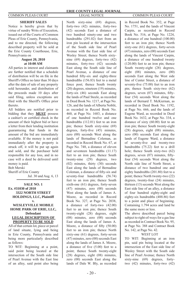#### **SHERIFF SALES**

Notice is hereby given that by virtue of sundry Writs of Execution, issued out of the Courts of Common Pleas of Erie County, Pennsylvania, and to me directed, the following described property will be sold at the Erie County Courthouse, Erie, Pennsylvania on

#### **August 20, 2010 at 10:00 AM**

All parties in interest and claimants are further notified that a schedule of distribution will be on file in the Sheriff's Office no later than 30 days after the date of sale of any property sold hereunder, and distribution of the proceeds made 10 days after said filing, unless exceptions are filed with the Sheriff's Office prior thereto.

All bidders are notified prior to bidding that they **MUST** possess a cashier's or certified check in the amount of their highest bid or have a letter from their lending institution guaranteeing that funds in the amount of the bid are immediately available. If the money is not paid immediately after the property is struck off, it will be put up again and sold, and the purchaser held responsible for any loss, and in no case will a deed be delivered until money is paid.

Bob Merski

Sheriff of Erie County Jul. 30 and Aug. 6, 13

### **SALE NO. 1 Ex. #31030 of 2010 3322 NORTH STREET HOLDINGS, LLC, Plaintiff**

#### **WESLEYVILLE MOBILE HOME PARK OF ERIE, LLC, Defendant LEGAL DESCRIPTION OF PROPERTY TO BE SOLD**

**v.**

All of that certain lot, piece or parcel of land situate, lying and being in Erie County, Pennsylvania and being more particularly described as follows:

TO WIT: Beginning at a point, said point being located at the intersection of the South side line of Pearl Avenue with the East line of an alley, said point also being

North sixty-nine (69) degrees, forty-two (42) minutes, forty-two (42) seconds East a distance of two hundred ninety-one and two hundredths (291.02) feet from an iron pin located at the intersection of the South side line of Pearl Avenue with the East side line of Wesley Street; thence North sixtynine (69) degrees, forty-two (42) minutes, forty-two (42) seconds East along the South side line of Pearl Avenue, a distance of one hundred fifty-six and eighty-three hundredths (156.83) feet to a metal fence post; thence South twenty (20) degrees, nineteen (19) minutes, forty-six (46) seconds East along the lands of Paul Steele, as recorded in Deed Book No. 1217, at Page No. 126, and the lands of Alberta Noblit, as recorded in Record Book No. 460, at Page No. 1683, a distance of one hundred twelve and one hundredths (112.01) feet to an iron pin; thence South sixty-nine (69) degrees, forty-five (45) minutes, zero (00) seconds West along the lands of Bernadine Coleman, as recorded in Record Book No. 67, at Page No. 748, a distance of eleven and seventeen hundredths (11.17) feet to an iron pin; thence South twenty-nine (29) degrees, two (02) minutes, thirty (30) seconds East along the lands of Bernadine Coleman, a distance of fifty-six and seventy-four hundredths (56.74) feet to an iron pin; thence South sixth-one (61) degrees, forty-seven (47) minutes, zero (00) seconds West along the lands of James A. Moore, as recorded in Record Book No. 327, at Page No. 2038, a distance of forty-two (42.00) feet to an iron pin; thence South twenty-eight (28) degrees, eight (08) minutes, zero (00) seconds East along the lands of James A. Moore, a distance of fifty  $(50.00)$ feet to an iron pin; thence North sixty-one (61) degrees, forty-seven (47) minutes, zero (00) seconds East along the lands of James A. Moore, a distance of five  $(5.00)$  feet to a point; thence South twenty-eight (28) degrees, eight (08) minutes, zero (00) seconds East along the lands of Dale W. Bly, as recorded

in Record Book No. 352, at Page No. 1751, and the lands of Vincent Carpin, as recorded in Record Book No. 516, at Page No. 1224, a distance of one hundred (100.00) feet to an iron pin; thence North sixty-one (61) degrees, forty-seven (47) minutes, zero (00) seconds East along the lands of Vincent Carpin, a distance of one hundred twenty (120.00) feet to an iron pin; thence South twenty-eight (28) degrees, eight (08) minutes, zero (00) seconds East along the West side line of Center Street, a distance of seventy-five  $(75.00)$  feet to an iron pin; thence South sixty-two (62) degrees, seven  $(07)$  minutes, fiftyfour (54) seconds West along the lands of Bernard T. McKiernan, as recorded in Deed Book No. 1192, at Page No. 666, and the lands of Eugene Ward, as recorded in Deed Book No. 1632, at Page No. 334, a distance of sixty (60.00) feet to an iron pin; thence South twenty-eight (28) degrees, eight (08) minutes, zero (00) seconds East along the lands of Eugene Ward, a distance of seventy-five and twenty-two hundredths (75.22) feet to a drill hole; thence South sixty-two (62) degrees, seven  $(07)$  minutes, fiftyfour (54) seconds West along the North side line of North Street, a distance of two hundred one and eighty hundredths (201.80) feet to a point; thence North twenty-two (22) degrees, twenty-four (24) minutes, thirteen (13) seconds West along the East side line of an alley, a distance of four hundred eighty-eight and eighty-six hundredths (488.86) feet to a point and place of beginning. Containing 1.794 acres and land be the same more or less.

The above described parcel being subject to right-of-ways for a gas line as recorded in Contract Book No. 95, at Page No. 388 and Contract Book No. 142, at Page No. 42.

#### WEST LOT

TO WIT: Beginning at an iron pin, said pin being located at the intersection of the East side line of Wesley Street with the South side line of Pearl Avenue; thence North sixty-nine (69) degrees, fortytwo (42) minutes, forty-two (42)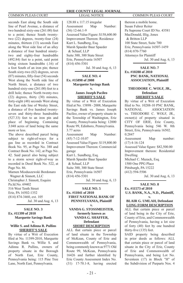seconds East along the South side line of Pearl Avenue, a distance of two hundred sixty-one (261.00) feet to a point; thence South twentytwo (22) degrees, twenty-four (24) minutes, thirteen (13) seconds East along the West side line of an alley a distance of four hundred ninetytwo and eighty-four hundredths (492.84) feet to a point, said point being sixteen hundredths (.16) of a foot South of an iron pin; thence South sixty-two (62) degrees, seven  $(07)$  minutes, fifty-four  $(54)$  seconds West along the North side line of North Street, a distance of two hundred sixty-one (261.00) feet to a drill hole; thence North twenty-two (22) degrees, thirty (30) minutes, forty-eight (48) seconds West along the East side line of Wesley Street, a distance of five hundred twentyseven and thirty-three hundredths (527.33) feet to an iron pin and place of beginning. Containing 3.048 acres of land being the same more or less.

The above described parcel being subject to right-of-ways for a gas line as recorded in Contract Book No. 95, at Page No. 388 and Contract Book No. 142, at Page No. 42. Said parcel also being subject to a storm sewer right-of-way as recorded in Deed Book No. 522, at Page No. 86.

Marnen Mioduszewski Bordonaro Wagner & Sinnott, LLC Christopher J. Sinnott, Esquire Pa.Id.No. 69402 516 West Tenth Street Erie, PA 16502-1352 (814) 874-3460, ext. 105 Jul. 30 and Aug. 6, 13

#### **SALE NO. 3 Ex. #11399 of 2010 Marquette Savings Bank v.**

#### **Willie S. and Adinna R. Pullins SHERIFF'S SALE**

By virtue of a Writ of Execution filed at No. 11399-2010, Marquette Savings Bank vs. Willie S. and Adinna R. Pullins, owners of property situate in the Borough of North East, Erie County, Pennsylvania being: 115 Pine Tree Lane, North East, Pennsylvania.

#### **ERIE COUNTY LEGAL JOURNAL** COMMON PLEAS COURT LEGAL NOTICE COMMON PLEAS COURT

128.88 x 117.15 irregular Assessment Map Number: (36) 12-66.1-9 Assessed Value Figure: \$158,600.00 Improvement Thereon: Residence Kurt L. Sundberg, Esq. Marsh Spaeder Baur Spaeder & Schaaf, LLP Suite 300, 300 State Street Erie, Pennsylvania 16507 (814) 456-5301

Jul. 30 and Aug. 6, 13

#### **SALE NO. 4 Ex. #15898 of 2008 Marquette Savings Bank v.**

#### **James Joseph Pacileo SHERIFF'S SALE**

By virtue of a Writ of Execution fi led at No. 15898 - 2008, Marquette Savings Bank vs. James Joseph Pacileo, owner of property situate in the Township of Washington, Erie County, Pennsylvania being: 12000 Route 99, Edinboro, Pennsylvania. 3.77 acres Assessment Map Number: (45) 7-12-10.07 Assessed Value Figure: \$119,800.00 Improvement Thereon: Commercial garage Kurt L. Sundberg, Esq. Marsh Spaeder Baur Spaeder & Schaaf, LLP Suite 300, 300 State Street Erie, Pennsylvania 16507 (814) 456-5301 Jul. 30 and Aug. 6, 13

#### **SALE NO. 5 Ex. #11041 of 2010 FIRST NATIONAL BANK OF PENNSYLVANIA, Plaintiff v.**

**VANDA G. STOSSMEISTER, formerly known as VANDA G. SHAFFER, Defendant SHORT DESCRIPTION** 

ALL that certain piece or parcel of land situate in the Township of McKean, County of Erie and Commonwealth of Pennsylvania, being commonly known as 9771 Old Route 99, McKean, Pennsylvania 16426 and further identified by Erie County Assessment Index No. (31) 17-70.1-8, having erected

thereon a mobile home. Susan Fuhrer Reiter Pa Supreme Court ID No. 43581 MacDonald, Illig, Jones & Britton LLP 100 State Street, Suite 700 Erie, Pennsylvania 16507-1459 (814) 870-7760 Attorneys for Plaintiff Jul. 30 and Aug. 6, 13

#### **SALE NO. 7 Ex. #10288 of 2010 PNC BANK, NATIONAL ASSOCIATION, Plaintiff v.**

### **THEODORE C. WOLF, JR., Defendant SHERIFF'S SALE**

By virtue of a Writ of Execution filed to No. 10288-10 PNC BANK, NATIONAL ASSOCIATION vs. THEODORE C. WOLF, JR., owner(s) of property situated in CITY OF ERIE, Erie County, Pennsylvania being 546 W. 8th Street, Erie, Pennsylvania 16502. 0.2847 Assessment Map number: (17) 4-16-124 Assessed Value figure: \$82,500.00 Improvement thereon: Residential Dwelling Michael C. Mazack, Esq. 1500 One PPG Place Pittsburgh, PA 15222 (412) 594-5506

Jul. 30 and Aug. 6, 13

**SALE NO. 8 Ex. #11573 of 2010 U.S. BANK, N.A., N.D., Plaintiff,**

#### **v. BLAIR G. UMLAH, Defendant LONG FORM DESCRIPTION**

ALL that certain piece or parcel of land being in the City of Erie, County of Erie, and Commonwealth of Pennsylvania, having a lot size of forty (40) feet by one hundred thirty-five (135) feet.

SAID property being described in prior deeds as follows: ALL that certain piece or parcel of land situate in the City of Erie, County of Erie and Commonwealth of Pennsylvania, and being Lot No. Seventeen (17) in Block "H" of the Subdivision of Purparts Nos. 4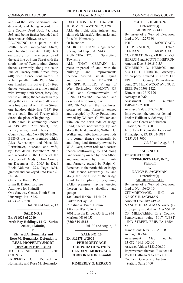and 5 of the Estate of Samuel Barr, deceased, and being recorded in Erie County Deed Book 48, page 563, and being further bounded and described as follows, to wit:

BEGINNING at a point in the south line of Twenty-ninth Street, one hundred twenty (120) feet eastwardly from the intersection of the east line of Plum Street with the south line of Twenty-ninth Street; thence eastwardly along the south line of Twenty-ninth Street, forty (40) feet; thence southwardly in a line parallel with Plum Street, one hundred thirty-five (135) feet; thence westwardly in a line parallel with Twenty-ninth Street, forty (40) feet to an alley; thence northwardly along the east line of said alley and in a line parallel with Plum Street, one hundred thirty-five (135) feet to the south line of Twenty-ninth Street, the place of beginning.

THIS parcel is commonly known as 819 West 29th Street, Erie, Pennsylvania, and bears Erie County Tax Index No. (19) 6042-209. BEING the same premises which Alex Berinshteyn and Nana M. Berinshteyn, husband and wife, by Deed dated December 9, 2005 and recorded in the Office of the Recorder of Deeds of Erie County on December 13, 2005 in Deed Book Volume 1293, Page 1891, granted and conveyed unto Blair G. Umlah.

Grenen & Birsic, P.C. Brian B. Dutton, Esquire Attorneys for Plaintiff One Gateway Center, Ninth Floor Pittsburgh, PA 15222 (412) 281-7650 Jul. 30 and Aug. 6, 13

**SALE NO. 9 Ex. #11628 of 2010 Arch Bay Holdings, LLC - Series 2008B, Plaintiff,**

**v. Richard A. Homansky and Rose M. Homansky, Defendants REAL PROPERTY SHORT DESCRIPTION FORM**

TO THE SHERIFF OF ERIE COUNTY: PROPERTY OF: Richard A.

Homansky and Rose M. Homansky

EXECUTION NO: 11628-2010 JUDGMENT AMT: \$85,234.20 ALL the right, title, interest and claim of: Richard A. Homansky and Rose M. Homansky Of in and to: ADDRESS: 13820 Ridge Road, Springfieid Twp., PA 16443 MUNICIPALITY: Springfield Township ALL THAT CERTAIN lot, piece or parcel of land, with the buildings and improvements thereon erected, situate, lying and being in the TOWNSHIP OF SPRINGFIELD, Village of West Springfield, COUNTY OF ERIE and Commonwealth of PENNSYLVANIA, bounded and described as follows, to wit: BEGINNING at the southwest corner of land formerly owned and occupied by Riley Potter, now owned by William G. Walker and wife, on the north side of Ridge Road; thence northwardly, by and along the land owned by William G. Walker and wife; twenty-three rods to a corner; thence westwardly by and along land formerly owned by W. A. Geer, seven rods to a corner; thence southwardly, by and along land formerly owned by John Albert and now owned by Elmer Prantz and formerly owned by Ralph C. Benedict, to the north side of Ridge Road; thence eastwardly, by and along the north line of the Ridge Road to the place of beginning. SAID premises having erected thereon a frame dwelling and garage. Tax Parcel ID No.: 14-41-25 Parker McCay P.A. Christine A. Pinto, Esquire Attorney ID# 205622 7001 Lincoln Drive, P.O. Box 974 Marlton, NJ 08053 (856) 810-5815

Jul. 30 and Aug. 6, 13

**SALE NO. 10 Ex. #12278 of 2009 PHH MORTGAGE CORPORATION, F/K/A CENDANT MORTGAGE CORPORATION, Plaintiff v.** 

**KIMBERLY G. HERRON** 

#### **SCOTT T. HERRON, Defendant(s) SHERIFF'S SALE**

By virtue of a Writ of Execution filed to No. 12278-09 PHH MORTGAGE CORPORATION, F/K/A CENDANT MORTGAGE CORPORATION vs. KIMBERLY G. HERRON and SCOTT T. HERRON Amount Due: \$108,315.55 KIMBERLY G. HERRON and SCOTT T. HERRON, owner(s) of property situated in CITY OF ERIE, Erie County, Pennsylvania being 2725 ELMWOOD AVENUE, ERIE, PA 16508-1422 Dimensions: 35 X 120 Acreage: 0.0964 Assessment Map number: 19062020021100 Assessed Value: \$58,220.00 Improvement thereon: residential Phelan Hallinan & Schmieg, LLP One Penn Center at Suburban Station, Suite 1400 1617 John F. Kennedy Boulevard Philadelphia, PA 19103-1814 (215) 563-7000

Jul. 30 and Aug. 6, 13

**SALE NO. 11 Ex. #10803 of 2010 CITIMORTGAGE, INC., Plaintiff v.** 

> **NANCY E. JAGEMAN, Defendant(s) SHERIFF'S SALE**

By virtue of a Writ of Execution filed to No. 10803-10 CITIMORTGAGE, INC. vs. NANCY E. JAGEMAN Amount Due: \$89,449.28 NANCY E. JAGEMAN owner(s) of property situated in TOWNSHIP OF MILLCREEK, Erie County, Pennsylvania being 3017 WEST 42ND STREET, ERIE, PA 16506- 5317 Dimensions: 60 x 170.35 IRR. Acreage: 0.2342 Assessment Map number: 33-082-414.3-003.00 Assessed Value: \$123,200.00 Improvement thereon: Residential Phelan Hallinan & Schmieg, LLP One Penn Center at Suburban Station, Suite 1400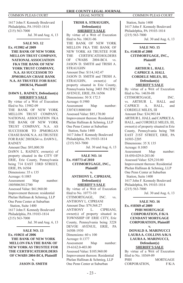1617 John F. Kennedy Boulevard Philadelphia, PA 19103-1814 (215) 563-7000

Jul. 30 and Aug. 6, 13

#### **SALE NO. 12 Ex. #13982 of 2009 THE BANK OF NEW YORK MELLON TRUST COMPANY, NATIONAL ASSOCIATION FKA THE BANK OF NEW YORK TRUST COMPANY, N.A. AS SUCCESSOR TO JPMORGAN CHASE BANK N.A. AS TRUSTEE FOR RASC 2003KS4, Plaintiff**

**v. DAWN L. RAINEY, Defendant(s) SHERIFF'S SALE**

By virtue of a Writ of Execution filed to No. 13982-09 THE BANK OF NEW YORK MELLON TRUST COMPANY, NATIONAL ASSOCIATION FKA THE BANK OF NEW YORK TRUST COMPANY, N.A. AS SUCCESSOR TO JPMORGAN CHASE BANK N.A. AS TRUSTEE FOR RASC 2003KS4 vs. DAWN L. RAINEY Amount Due: \$93,800.50

DAWN L. RAINEY, owner(s) of property situated in the CITY OF ERIE, Erie County, Pennsylvania being 714 EAST 33RD STREET, ERIE, PA 16504 Dimensions: 35 x 135 Acreage: 0.1085 Assessment Map number: 18050063012700 Assessed Value: \$61,960.00 Improvement thereon: residential Phelan Hallinan & Schmieg, LLP One Penn Center at Suburban Station, Suite 1400 1617 John F. Kennedy Boulevard Philadelphia, PA 19103-1814 (215) 563-7000

Jul. 30 and Aug. 6, 13

**SALE NO. 13 Ex. #10631 of 2006 THE BANK OF NEW YORK MELLON FKA THE BANK OF NEW YORK AS TRUSTEE FOR THE CERTIFICATEHOLDERS OF CWABS 2004-BC4, Plaintiff v.** 

**JASON D. SMITH**

#### **TRISH A. STRAUGHN, Defendant(s) SHERIFF'S SALE**

By virtue of a Writ of Execution filed to No. 10631-06 THE BANK OF NEW YORK MELLON FKA THE BANK OF NEW YORK AS TRUSTEE FOR THE CERTIFICATEHOLDERS<br>OF CWABS 2004-BC4 vs CWABS 2004-BC4. vs. JASON D. SMITH and TRISH A. STRAUGHN Amount Due: \$114,142.47 JASON D. SMITH and TRISH A.<br>STRAUGHN. owner(s) of STRAUGHN, owner(s) property situated in Erie County, Pennsylvania being 3403 PACIFIC AVENUE, ERIE, PA 16506 Dimensions: 50 X 172.5 Acreage: 0.1980 Assessment Map number: 33074318000100 Assessed Value: \$85,170.00 Improvement thereon: Residential Phelan Hallinan & Schmieg, LLP One Penn Center at Suburban Station, Suite 1400 1617 John F. Kennedy Boulevard Philadelphia, PA 19103-1814 (215) 563-7000

Jul. 30 and Aug. 6, 13

#### **SALE NO. 14 Ex. #10773 of 2010 CITIMORTGAGE, INC., Plaintiff v.**

#### **ANTHONY L. CIPRIANI, Defendant(s) SHERIFF'S SALE**

By virtue of a Writ of Execution filed to No. 10773-10 CITIMORTGAGE, INC. vs. ANTHONY L. CIPRIANI Amount Due: \$79,568.27 ANTHONY L. CIPRIANI, owner(s) of property situated in TOWNSHIP OF ERIE CITY, Erie County, Pennsylvania being 3228 DEVOE AVENUE, ERIE, PA 16508-1930 Dimensions: 60 x 100 Acreage: 0.1377 Assessment Map number: 19-6162.0-403.00 Assessed Value: \$105,960.00 Improvement thereon: Residential Phelan Hallinan & Schmieg, LLP One Penn Center at Suburban

 Station, Suite 1400 1617 John F. Kennedy Boulevard Philadelphia, PA 19103-1814  $(215)$  563-7000 Jul. 30 and Aug. 6, 13

**SALE NO. 15 Ex. #14638 of 2008 CITIMORTGAGE, INC., Plaintiff v. ARTHUR L. HALL CAPRICE A. HALL CORDELE MILES, III, Defendant(s) SHERIFF'S SALE** By virtue of a Writ of Execution filed to No. 14638-08 CITIMORTGAGE, INC. vs. ARTHUR L. HALL and<br>CAPRICE A. HALL, and A. HALL, and CORDELE MILES, III Amount Due: \$34,903.84 ARTHUR L. HALL and CAPRICE A. HALL, and CORDELE MILES, III, owner(s) of property situated in Erie County, Pennsylvania being 708 EAST 21ST STREET, ERIE, PA 16503-2205 Dimensions: 35 X 135 Acreage: 0.1085 Assessment Map number: 18-050-029.0-203.00 Assessed Value: \$29,210.00 Improvement thereon: Residential

Phelan Hallinan & Schmieg, LLP One Penn Center at Suburban Station, Suite 1400 1617 John F. Kennedy Boulevard Philadelphia, PA 19103-1814  $(215)$  563-7000 Jul. 30 and Aug. 6, 13

**SALE NO. 16 Ex. #10369 of 2009 PHH MORTGAGE CORPORATION, F/K/A CENDANT MORTGAGE CORPORATION, Plaintiff v.** 

**DONALD A. MARINUCCI LAURA A. COLLINS A/K/A LAURA A. MARINUCCI, Defendant(s) SHERIFF'S SALE**

By virtue of a Writ of Execution filed to No. 10369-09<br>PHH **MORTGAGE** CORPORATION, F/K/A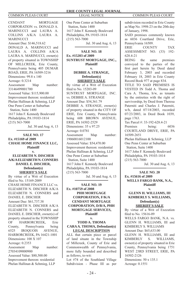CENDANT MORTGAGE CORPORATION vs. DONALD A. MARINUCCI and LAURA A. COLLINS A/K/A LAURA A. **MARINHCCI** Amount Due: \$146,518.62 DONALD A. MARINUCCI and LAURA A. COLLINS A/K/A LAURA A. MARINUCCI, owner(s) of property situated in TOWNSHIP OF MILLCREEK, Erie County, Pennsylvania being 405 DUMAR ROAD, ERIE, PA 16509-3216 Dimensions: 99.8 x 140 Acreage: 0.3214 Assessment Map number: 33146499001700 Assessed Value: \$115,900.00 Improvement thereon: residential Phelan Hallinan & Schmieg, LLP One Penn Center at Suburban Station, Suite 1400 1617 John F. Kennedy Boulevard Philadelphia, PA 19103-1814 (215) 563-7000

Jul. 30 and Aug. 6, 13

**SALE NO. 17 Ex. #15169 of 2009 CHASE HOME FINANCE LLC, Plaintiff v.** 

**ELIZABETH N. DISCHER A/K/A ELIZABETH N. CONNERS DANIEL E. DISCHER, Defendant(s) SHERIFF'S SALE**

By virtue of a Writ of Execution fi led to No. 15169-2009 CHASE HOME FINANCE LLC vs. ELIZABETH N. DISCHER A/K/A ELIZABETH N. CONNERS and DANIEL E. DISCHER Amount Due: \$61,737.38 ELIZABETH N. DISCHER A/K/A ELIZABETH N. CONNERS and DANIEL E. DISCHER, owner(s) of property situated in the TOWNSHIP<br>OF HARBORCREEK Frie HARBORCREEK, Erie County, Pennsylvania being 6525 IROQUOIS AVENUE, HARBORCREEK, PA 16421-1001 Dimensions: 100 X 107 Acreage: 0.2353 Assessment Map number: 27034109000900 Assessed Value: \$80,500.00 Improvement thereon: residential Phelan Hallinan & Schmieg, LLP

One Penn Center at Suburban Station, Suite 1400 1617 John F. Kennedy Boulevard Philadelphia, PA 19103-1814  $(215)$  563-7000

Jul. 30 and Aug. 6, 13

#### **SALE NO. 18 Ex. #15203 of 2009 SUNTRUST MORTGAGE, INC., Plaintiff**

**v.** 

#### **DEBBIE A. STRANGE, Defendant(s) SHERIFF'S SALE**

By virtue of a Writ of Execution filed to No. 15203-09 SUNTRUST MORTGAGE, INC. vs. DEBBIE A. STRANGE Amount Due: \$54,361.79 DEBBIE A. STRANGE, owner(s) of property situated in the CITY OF ERIE, Erie County, Pennsylvania being 608 BROWN AVENUE, ERIE, PA 16502-2529 Dimensions: 35 x 97.25 Acreage: 0.0781 Assessment Map number: 19060016012100 Assessed Value: \$54,470.00 Improvement thereon: residential Phelan Hallinan & Schmieg, LLP One Penn Center at Suburban Station, Suite 1400 1617 John F. Kennedy Boulevard Philadelphia, PA 19103-1814 (215) 563-7000 Jul. 30 and Aug. 6, 13

**SALE NO. 19 Ex. #10759 of 2008 PHH MORTGAGE CORPORATION, F/K/A CENDANT MORTGAGE CORPORATION, D/B/A, PHH MORTGAGE SERVICES, Plaintiff** 

### **v.**

#### **TODD A. THOMA CARA A. THOMA, Defendant(s) LEGAL DESCRIPTION**

ALL that certain piece or parcel of land situate in the Township of Millcreek, County of Erie and Commonwealth of Pennsylvania, more fully bounded and described as follows, to-wit:

Lot #74 of the Southland Village Subdivision - Phase III as per subdivision recorded in Erie County as Map No. 1998-23 on the 20th day of January, 1998.

SAID premises commonly known as 6036 Courtland Drive, Erie, Pennsylvania 16509.<br>ERIE COUNT

COUNTY TAX ASSESSMENT NO. (33) 192- 628.4-21<br>BEING

the same premises conveyed to the parties of the first part herein by Deed dated February 3, 2003 and recorded February 18, 2003 in Erie County Record Book 977 at page 834.

TITLE TO SAID PREMISES IS VESTED IN Todd A. Thoma and Cara A. Thoma, h/w, as tenants by the entireties with the right of survivorship, by Deed from Theresa Paterniti and Charles J. Paterniti, w/h, dated 07/18/2003, recorded 07/23/2003, in Deed Book 1039, page 1763.

Tax Parcel #: 33-192-628.4-21 Premises being: 6036 COURTLAND DRIVE, ERIE, PA 16509-2651

Phelan Hallinan & Schmieg, LLP One Penn Center at Suburban Station, Suite 1400

1617 John F. Kennedy Boulevard Philadelphia, PA 19103-1814 (215) 563-7000

Jul. 30 and Aug. 6, 13

#### **SALE NO. 20 Ex. #15616 of 2009 WELLS FARGO BANK, N.A., Plaintiff**

**GLENN H. WILLIAMS, III KIMBERLY S. WILLIAMS, Defendant(s) SHERIFF'S SALE**

**v.** 

By virtue of a Writ of Execution filed to No. 15616-09 WELLS FARGO BANK, N.A. vs. GLENN H. WILLIAMS, III and KIMBERLY S. WILLIAMS Amount Due: \$65,633.00 GLENN H. WILLIAMS, III and KIMBERLY S. WILLIAMS, owner(s) of property situated in Erie County, Pennsylvania being 1751 WEST 23RD STREET, ERIE, PA 16502-2126 Dimensions: 50 x 135.1 Acreage: 0.1551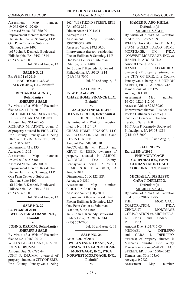Assessment Map number: 19-062-008.0-107.00 Assessed Value: \$57,860.00 Improvement thereon: Residential Phelan Hallinan & Schmieg, LLP One Penn Center at Suburban Station, Suite 1400 1617 John F. Kennedy Boulevard Philadelphia, PA 19103-1814 (215) 563-7000

Jul. 30 and Aug. 6, 13

**SALE NO. 21 Ex. #11104 of 2010 BAC HOME LOANS SERVICING, L.P., Plaintiff v.** 

> **RICHARD M. ARNDT, Defendant(s) SHERIFF'S SALE**

By virtue of a Writ of Execution filed to No. 11104-2010 BAC HOME LOANS SERVICING, L.P. vs. RICHARD M. ARNDT Amount Due: \$61,683.65 RICHARD M. ARNDT, owner(s) of property situated in ERIE CITY, Erie County, Pennsylvania being 1022 WEST 21ST STREET, ERIE, PA 16502-2407 Dimensions: 42 x 135 Acreage: 0.1302 Assessment Map number: 19-060-030.0-235.00 Assessed Value: \$46,800.00 Improvement thereon: Residential Phelan Hallinan & Schmieg, LLP One Penn Center at Suburban Station, Suite 1400 1617 John F. Kennedy Boulevard Philadelphia, PA 19103-1814 (215) 563-7000

Jul. 30 and Aug. 6, 13

**SALE NO. 22 Ex. #10583 of 2010 WELLS FARGO BANK, N.A., Plaintiff v.** 

#### **JOHN F. DRUMM, Defendant(s) SHERIFF'S SALE**

By virtue of a Writ of Execution fi led to No. 10583-2010 WELLS FARGO BANK, N.A. vs. JOHN F. DRUMM Amount Due: \$29,786.44 JOHN F. DRUMM, owner(s) of property situated in CITY OF ERIE, Erie County, Pennsylvania being

**ERIE COUNTY LEGAL JOURNAL** COMMON PLEAS COURT LEGAL NOTICE COMMON PLEAS COURT

> 1624 WEST 22ND STREET, ERIE, PA 16502-2121 Dimensions: 41 X 135.1 Acreage: 0.1272 Assessment Map number: 19062006032900 Assessed Value: \$48,100.00 Improvement thereon: residential Phelan Hallinan & Schmieg, LLP One Penn Center at Suburban Station, Suite 1400 1617 John F. Kennedy Boulevard Philadelphia, PA 19103-1814 (215) 563-7000 Jul. 30 and Aug. 6, 13

**SALE NO. 23 Ex. #11134 of 2009 CHASE HOME FINANCE LLC, Plaintiff v.** 

**JACQUALINE M. REED KEVIN C. REED, Defendant(s) SHERIFF'S SALE**

By virtue of a Writ of Execution fi led to No. 11134-09 CHASE HOME FINANCE LLC vs. JACQUALINE M. REED and KEVIN C. REED Amount Due: \$88,887.10 JACQUALINE M. REED and KEVIN C. REED, owner(s) of property situated in ALBION BOROUGH, Erie County, Pennsylvania being 35 WEST PEARL STREET, ALBION, PA 16401-1043 Dimensions: 50 X 122 IRR Acreage: 0.1380 Assessment Map number: 01-001-015.0-003.00 Assessed Value: \$60,250.00 Improvement thereon: residential Phelan Hallinan & Schmieg, LLP One Penn Center at Suburban Station, Suite 1400 1617 John F. Kennedy Boulevard Philadelphia, PA 19103-1814 (215) 563-7000

Jul. 30 and Aug. 6, 13

**SALE NO. 24 Ex. #13597 of 2009 WELLS FARGO BANK, N.A., S/B/M WELLS FARGO HOME MORTGAGE, INC., F/K/A NORWEST MORTGAGE, INC., Plaintiff** 

**v.** 

#### **HAMED R. ABO-KHILA, Defendant(s) SHERIFF'S SALE**

By virtue of a Writ of Execution fi led to No. 13597-2009 WELLS FARGO BANK, N.A., S/B/M WELLS FARGO HOME MORTGAGE, INC., F/K/A NORWEST MORTGAGE, INC. vs. HAMED R. ABO-KHILA Amount Due: \$12,563.81 HAMED R. ABO-KHILA, owner(s) of property situated in the CITY OF ERIE, Erie County, Pennsylvania being 443 HURON STREET, ERIE, PA 16502-1742 Dimensions: 41.5 x 125 Acreage: 0.1184 Assessment Map number: 16-030-022.0-112.00 Assessed Value: \$22,330.00 Improvement thereon: Residential Phelan Hallinan & Schmieg, LLP One Penn Center at Suburban Station, Suite 1400 1617 John F. Kennedy Boulevard Philadelphia, PA 19103-1814 (215) 563-7000

Jul. 30 and Aug. 6, 13

**SALE NO. 25 Ex. #11285 of 2010 PHH MORTGAGE CORPORATION, F/K/A CENDANT MORTGAGE CORPORATION, Plaintiff v.** 

#### **MICHAEL A. DIFILIPPO CARA J. DIFILIPPO, Defendant(s) SHERIFF'S SALE**

By virtue of a Writ of Execution filed to No. 2010-11285<br>PHH **MORTGAGE** CORPORATION, F/K/A CENDANT MORTGAGE CORPORATION vs. MICHAEL A. DIFILIPPO and CARA J. DIFILIPPO Amount Due: \$131,715.03 MICHAEL A. DIFILIPPO<br>and CARA J. DIFILIPPO. CARA J. DIFILIPPO, owner(s) of property situated in Millcreek Township, Erie County, Pennsylvania being 4620 VILLAGE STREET, ERIE, PA 16506-1542 Dimensions: 80 x 153.66 Acreage: 0.2822 Assessment Map number: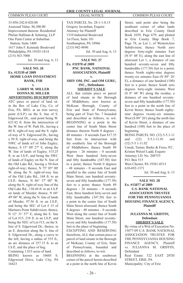33-056-242.0-020.00 Assessed Value: 86,300.00 Improvement thereon: Residential Phelan Hallinan & Schmieg, LLP One Penn Center at Suburban Station, Suite 1400 1617 John F. Kennedy Boulevard Philadelphia, PA 19103-1814 (215) 563-7000

Jul. 30 and Aug. 6, 13

#### **SALE NO. 26 Ex. #13539 of 2009 HOME LOAN INVESTMENT BANK, FSB v.**

#### **LARRY M. MILLER DONNA M. MILLER ADVERTISING DESCRIPTION**

ATC piece or parcel of land sit. in the Bor. of Lake City, Co. of Erie, PA. BEG. at an iron survey point (I.S.P.) on the S. line of S. Edgewood Dr., said point being W. 623.82 ft. from the intersection of the W. line of W. Park Dr., having a 60 ft. right-of-way and the S. rightof-way of S. Edgewood Dr., having a 50 ft. right-of-way, and being the NWC of lands n/f of John Eagley; thence, S  $15^{\circ}$  00' 27" E, along the W. line of lands of Eagley, 315.25 ft. to an I.S.P., and being the SWC of lands of Eagley on the N. line of the Old Lake Rd., having a 50-foot right-of-way; thence, N 75° 05° 00' W, along the N. right-of-way line of the Old Lake Rd., 168 ft. to an I.S.P.; thence, N 86° 37' 00" W, along the N. right-of-way line of the Old Lake Rd., 130.44 ft. to an I.S.P. on lands of Meeder; thence, N 68° 49' 08" W, along the N. line of lands of Meeder, 97.56 ft. to an I.S.P., and being the SEC of Lot # 15 of Mariners Point Subdivision; thence, N 12° 31' 57" E, along the E. line of Lot #15, 218 ft. to an I.S.P., and being the NEC of Lot #15, on the S. line of S. Edgewood Dr.; thence, in an E. direction along the S. line of S. Edgewood Dr., along a curve to the left, having a radius of 535 ft. an arc distance of 257.15 ft. to an I.S.P., and the place of beg.

Containing 1.833 acres of land. BEING known as 10605 S.

Edgewood Drive, Lake City, PA 16423

TAX PARCEL No. 28-1-1-8.15 Gregory Javardian, Esquire Attorney for Plaintiff 1310 Industrial Boulevard 1st Floor, Suite 101 Southampton, PA 18966 (215) 942-9690

Jul. 30 and Aug. 6, 13

#### **SALE NO. 27 Ex. #31978 of 2009 PNC BANK, NATIONAL ASSOCIATION, Plaintiff v.**

#### **SHIV OM, INC. and OM GURU, INC., Defendants SHERIFF'S SALE**

ALL that certain piece or parcel of land situate in the Borough of Middleboro, now known as McKean Borough, County of Erie and State of Pennsylvania, being part of Tract No. 7 bounded and described as follows, to wit: BEGINNING at a point in the center line of South Main Street distance thereon North 0 degrees - 48 minutes - 0 seconds East 817.35 feet from its intersection with the southerly line of the Borough of Middleboro; thence South 89 degrees - 26 minutes - 0 seconds West three hundred forty-seven and fifty hundredths  $(347.50)$  feet to a point; thence North 0 degrees - 48 minutes - 0 seconds East and parallel to the center line of South Main Street, one hundred seventyseven and fifty hundredths  $(177.50)$ feet to a point; thence North 89 degrees - 26 minutes - 0 seconds East, three hundred forty-seven and fifty hundredths  $(347.50)$  feet to a point in the center line of South Main Street aforesaid; thence South 0 degrees - 48 minutes - 0 seconds West along the center line of South Main Street, one hundred seventyseven and fifty hundredths  $(177.50)$ feet to the place of beginning. EXCEPTING AND RESERVING therefrom, ALL that certain piece or parcel of land situate in the Borough

of McKean, County of Erie, State of Pennsylvania, bounded and described as follows, to-wit:

BEGINNING at the southwest corner of the parcel herein described at a point in the north line of Kevin

Street, said point also being the southeast corner of other lands described in Erie County Deed Book 1039, Page 679, and plotted in Erie County Map Book 7, Page 78, as Lot 1, of WesternAire Subdivision; thence North zero degrees forty-eight minutes East (N 0° 48' E), along the east line of aforesaid Lot 1, a distance of one hundred seventy-seven and fifty hundredths (177.50) feet to a point; thence North eighty-nine degrees twenty-six minutes East (N 89° 26' E), a distance of one hundred (100) feet to a point; thence South zero degrees forty-eight minutes West (S 0° 48' W) along the residue, a distance of one hundred seventyseven and fifty hundredths  $(177.50)$ feet to a point in the north line of Kevin Street; thence South eightynine degrees twenty-six minutes West (S  $89^\circ$  26') along the north line of Kevin Street, a distance of one hundred (100) feet to the place of beginning.

BEING PARCEL NO. (32) 5-5.1-11 and (32) 5-5.1-11.01 and (32) 5-5 1-11.02 Unruh, Turner, Burke & Frees, P.C. Kristen Wetzel Ladd, Esquire Attorney I.D. No. 208755 P.O. Box 515 West Chester, PA 19381-0515 610-692-1371

Jul. 30 and Aug. 6, 13

**SALE NO. 28 Ex. #15077 of 2009 U.S. BANK NATIONAL ASSOCIATION TRUSTEE FOR THE PENNSYLVANIA HOUSING FINANCE AGENCY, Plaintiff v.**

> **JULIANNA M. GRIFFIN, Defendant SHERIFF'S SALE**

By virtue of a Writ of Execution No. 15077-09 U.S. BANK NATIONAL ASSOCIATION TRUSTEE FOR THE PENNSYLVANIA HOUSING FINANCE AGENCY, Plaintiff vs. JULIANNA M. GRIFFIN, Defendant Real Estate: 322 EAST 28TH STREET, ERIE, PA Municipality: City of Erie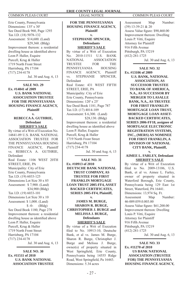Erie County, Pennsylvania Dimensions: 135' x 30' See Deed Book 960, Page 1293 Tax I.D. (18) 5078-132 Assessment: \$14,600. (Land) \$29,360. (Bldg) Improvement thereon: a residential dwelling house as identified above Leon P. Haller, Esquire Purcell, Krug & Haller 1719 North Front Street Harrisburg, PA 17104 (717) 234-4178 Jul. 30 and Aug. 6, 13

#### **SALE NO. 29 Ex. #14841 of 2009 U.S. BANK NATIONAL ASSOCIATION TRUSTEE FOR THE PENNSYLVANIA HOUSING FINANCE AGENCY, Plaintiff v.**

**REBECCA A. GUTHRIE, Defendant SHERIFF'S SALE**

By virtue of a Writ of Execution No. 14841-09 U.S. BANK NATIONAL ASSOCIATION TRUSTEE FOR THE PENNSYLVANIA HOUSING FINANCE AGENCY, Plaintiff vs. REBECCA A. GUTHRIE, Defendant Real Estate: 1106 WEST 20TH STREET, ERIE, PA Municipality: City of Erie Erie County, Pennsylvania Tax I.D. (19) 6033-125 Dimensions Lot Size 30 x 85 Assessment: \$ 7,900. (Land) \$34,900 (Bldg) Tax I.D. (19) 6033-101 Dimensions Lot Size 30 x 10 Assessment: \$ 1,000. (Land)  $$ -0-$  (Bldg) See Deed Book 1180, Page 278 Improvement thereon: a residential dwelling house as identified above Leon P. Haller, Esquire Purcell, Krug & Haller 1719 North Front Street Harrisburg, PA 17104 (717) 234-4178

Jul. 30 and Aug. 6, 13

**SALE NO. 30 Ex. #11511 of 2010 U.S. BANK NATIONAL ASSOCIATION TRUSTEE** 

**FOR THE PENNSYLVANIA HOUSING FINANCE AGENCY, Plaintiff v. STEPHANIE SPENCER, Defendants SHERIFF'S SALE** By virtue of a Writ of Execution No. 2010-11511 U.S. BANK<br>NATIONAL ASSOCIATION **ASSOCIATION** TRUSTEE FOR THE<br>PENNSYLVANIA HOUSING PENNSYLVANIA FINANCE AGENCY, Plaintiff vs. STEPHANIE SPENCER, Defendant Real Estate: 431 WEST FIFTH STREET, ERIE, PA Municipality: City of Erie Erie County, Pennsylvania Dimensions: 120' x 25' See Deed Book 1181, Page 787 Tax I.D. (17) 4014-109 Assessment: \$ 6,300. (Land) \$28,130. (Bldg) Improvement thereon: a residential dwelling house as identified above Leon P. Haller, Esquire Purcell, Krug & Haller 1719 North Front Street Harrisburg, PA 17104 (717) 234-4178 Jul. 30 and Aug. 6, 13

**SALE NO. 31 Ex. #10913 of 2010 DEUTSCHE BANK NATIONAL TRUST COMPANY, AS TRUSTEE FOR FIRST FRANKLIN MORTGAGE LOAN TRUST 2005-FF4, ASSET BACKED CERTIFICATES, SERIES 2005-FF4, Plaintiff,** 

#### **v. JAMES M. BURGE, SHARON R. BURGE, CHRISTOPHER J. BURGE and MELISSA J. BURGE, Defendants SHERIFF'S SALE**

By virtue of a Writ of Execution filed to No. 10913-10, Deutsche Bank, et al vs. James M. Burge, Sharon R. Burge, Christopher J. Burge and Melissa J. Burge, owner(s) of property situated in West Springfield, Erie County, Pennsylvania being 14555 Ridge Road, West Springfield, Pa 16443. Dimensions: 5.34 acres

Assessment Map Number: (39) 13-39-21 & 20 Assess Value figure: \$90,460.00 Improvement thereon: Dwelling Louis P. Vitti, Esquire Attorney for Plaintiff 916 Fifth Avenue Pittsburgh, PA 15219 (412) 281-1725

Jul. 30 and Aug. 6, 13

**SALE NO. 32 Ex. #13106 of 2009 U.S. BANK, NATIONAL ASSOCIATION, AS SUCCESSOR TRUSTEE TO BANK OF AMERICA, N.A., AS SUCCESSOR BY MERGER TO LASALLE BANK, N.A., AS TRUSTEE FOR FIRST FRANKLIN MORTGAGE LOAN TRUST, MORTGAGE LOAN ASSET-BACKED CERTIFICATES, SERIES 2006-FF18, assignee of MORTGAGE ELECTRONIC REGISTRATION SYSTEMS, INC., (MERS) AS NOMINEE FOR FIRST FRANKLIN, A DIVISION OF NATIONAL CITY BANK, Plaintiff,** 

#### **v. AIMEE L. FARLEY, Defendant SHERIFF'S SALE**

By virtue of a Writ of Execution filed to No. 2009-13106, U.S. Bank, et al vs. Aimee L. Farley, owner of property situated in Waterford Borough, Erie County, Pennsylvania being 129 East 1st Street, Waterford, PA 16441. Dimensions: 13,974 Sq. Ft. Assessment Map Number: 46-009.059.0.003.00 Assess Value figure: \$61,200.00 Improvement thereon: Dwelling Louis P. Vitti, Esquire Attorney for Plaintiff 916 Fifth Avenue Pittsburgh, PA 15219 (412) 281-1725 Jul. 30 and Aug. 6, 13

**SALE NO. 33 Ex. #11270 of 2010 US BANK NATIONAL ASSOCIATION (TRUSTEE FOR) THE PENNSYLVANIA HOUSING FINANCE AGENCY,**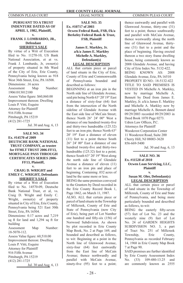#### **PURSUANT TO A TRUST INDENTURE DATED AS OF APRIL 1, 1982, Plaintiff, v.**

#### **FRANK J. LOMBARDO, JR., Defendant SHERIFF'S SALE**

By virtue of a Writ of Execution filed to No. 11270-10, US Bank National Association, et at vs. Frank J. Lombardo, Jr, owner(s) of property situated in 8th Ward of the City of Erie, Erie County, Pennsylvania being known as 918 West 36th Street, Erie, PA 16508. Dimensions: .16 acres Assessment Map Number: 19061013012100 Assess Value figure: \$60,860.00 Improvement thereon: Dwelling Louis P. Vitti, Esquire Attorney for Plaintiff 916 Fifth Avenue Pittsburgh, PA 15219 (412) 281-1725 Jul. 30 and Aug. 6, 13

#### **SALE NO. 34 Ex. #14570 of 2009 DEUTSCHE BANK NATIONAL TRUST COMPANY, as trustee for FFMLT TRUST 2006-FF13, MORTGAGE PASS THROUGH CERTIFICATES SERIES 2006- FF13, Plaintiff,**

**v.** 

#### **CRAIG D. WRIGHT and EMILY C. WRIGHT, Defendants SHERIFF'S SALE**

By virtue of a Writ of Execution filed to No. 14570-09, Deutsche Bank National Trust, et al, vs. Craig D. Wright and Emily C. Wright, owner(s) of property situated in City of Erie, Erie County, Pennsylvania being 521 East 30th Street, Erie, PA 16504. Dimensions: 0.17 acres and 7,219 sq ft for land and 1,294 sq ft for building Assessment Map Number: 18-5070-112. Assess Value figure: 60,510.00 Improvement thereon: Dwelling Louis P. Vitti, Esquire Attorney for Plaintiff 916 Fifth Avenue Pittsburgh, PA 15219 (412) 281-1725 Jul. 30 and Aug. 6, 13

#### **SALE NO. 35 Ex. #10717 of 2003 Ocwen Federal Bank, FSB, f/k/a Berkeley Federal Bank & Trust, FSB, Plaintiff v.**

**James E. Markley, Jr. a/k/a James E. Markley Michelle A. Markley, Defendant(s) LEGAL DESCRIPTION**

ALL that certain piece or parcel of land situate in the City of Erie, County of Erie and Commonwealth of Pennsylvania bounded and described as follows:

BEGINNING at an iron pin in the North side line of Glendale Avenue, said pin being North 63° 20' 19" East a distance of sixty-four (64) feet from the intersection of the North sideline of Glendale Avenue with the East side line of McCain Street; thence North 26° 24' 00" West a distance of one hundred twenty-five and thirty-two hundredths (125.32) feet to an iron pin; thence North 63° 20' 19" East a distance of eleven (11) feet to a point thence South 26° 24' 00" East a distance of one hundred twenty-five and thirty-two hundredths (125.32) feet to a point; thence South 63° 20' 19" West along the north side line of Glendale Avenue a distance of eleven (11) feet to an iron pin and place of beginning. Containing .032 acres of land be the same more or less.

BEING the same premises conveyed to the Grantors by Deed recorded in the Erie County Record Book 1, Page 1862, on March 11, 1987.

ALSO, ALL that certain piece or parcel of land situate in the Township of Millcreek, County of Erie and State of Pennsylvania (now City of Erie), being part of Lot Number one hundred and fifty-six  $(156)$  of Norwood Subdivision. As shown by plot recorded in Erie County Map Book, No. 2 at Page 169, and bounded and described as follows, to wit: Beginning at a point in the North line of Glenwood Avenue, sixty-four (64) feet eastwardly from the East line of McCain Avenue; thence northwardly and parallel with McCain Avenue, ninety-five (95) feet to a point;

thence eastwardly and parallel with Glenwood Avenue, thirty-one (31) feet to a point; thence southwardly and parallel with McCain Avenue, thence westwardly along the north line of Glenwood Avenue, thirtyone (31) feet to a point and the place of beginning. Having erected thereon a two story frame dwelling house, being commonly known as 2008 Glendale Avenue, and having City of Erie Index No. 5132-422. BEING KNOWN AS: 2008 Glendale Avenue, Erie, PA 16510 PROPERTY ID NO.: 18-5132-422 TITLE TO SAID PREMISES IS VESTED IN Michelle A. Markley, now by marriage Michelle A. Bennett by Deed from James E. Markley, Jr. a/k/a James E. Markley and Michelle A. Markley now by marriage Michelle A. Bennett dated 09/29/2003 recorded 09/29/2003 in Deed Book 1070 Page 0273. Udren Law Offices, P.C. Attorneys for Plaintiff Woodcrest Corporation Center 11 Woodcrest Road, Suite 200 Cherry Hill, NJ 08003-3620 856-669-5400

Jul. 30 and Aug. 6, 13

**SALE NO. 36 Ex. #11528 of 2010 Ocwen Loan Servicing, LLC, Plaintiff**

#### **v. Susan M. Oler, Defendant(s)**

**LEGAL DESCRIPTION** ALL that certain piece or parcel of land situate in the Township of Millcreek, County of Erie and State of Pennsylvania, and being more particularly bounded and described as follows, to-wit:

BEING the easterly fifty-seven (57) feet of Lot No. 23 and the westerly nine (9) feet of Lot No. 24 of GARDEN HEIGHTS SUBDIVISION NO. 3, a part of Tract No. 251 of Millcreek Township, Erie County, Pennsylvania as recorded February 14, 1968 in Erie County Map Book 7 at Page 90.

SAID premises are further identified by Erie County Assessment Index No. (33) 109-480-13.25 and are commonly known as 2555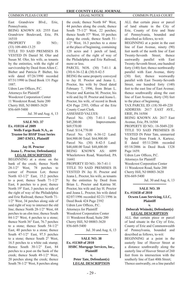East Grandview Blvd., Erie, Pennsylvania. BEING KNOWN AS: 2555 East Grandview Boulevard, Erie, PA 16510 PROPERTY ID NO.:

(33) 109-480-13.25

TITLE TO SAID PREMISES IS VESTED IN Daniel M. Oler and Susan M. Oler, his wife, as tenants by the entireties, with the right of survivorship by Deed from Allen C. Bieber and Patricia P. Bieber, his wife dated 07/26/1990 recorded 07/31/1990 in Deed Book 131 Page 1887.

Udren Law Offices, P.C. Attorneys for Plaintiff Woodcrest Corporation Center 11 Woodcrest Road, Suite 200 Cherry Hill, NJ 08003-3620 856-669-5400

Jul. 30 and Aug. 6, 13

### **SALE NO. 37 Ex. #10116 of 2009 Wells Fargo Bank N.A., as Trustee for BSSP Trust Series 2007-EMX1, Plaintiff**

**v.**

#### **Jay H. Proctor Jeana L. Proctor, Defendant(s) LEGAL DESCRIPTION**

BEGINNING at a stone on the bank of the creek; thence North 28-1/2° West, 78 perches to corner of Preston Lot; thence North 63-1/2° East, 15.2 perches to a post; thence South  $71-1/2$ ° East, 8 perches to a post; thence North 19° East, 3 perches to side of the right of way of the Philadelphia and Erie Railroad; thence North 71- 1/2° West, 34 perches along side of said right of way to intersect the old line; thence North 28-1/2° West, 68 perches to an elm tree; thence South 84-1/2° West, 4 perches to a stone; thence North 36° East, 76.7 perches to a stone; thence South 54-1/2° East, 40 perches to a stone; thence South 47-1/2° East, 97.5 perches to a stone; thence South 2° West, 16.5 perches to a white oak stump; thence South 30-1/2° East, 84 perches to a post on the bank of the creek; thence South 49-1/2° West, 20 perches along the creek; thence South 78-1/2° West, 8 perches along

the creek; thence North 84° West, 44 perches along the creek; thence South 75-1/2° West, 22 perches; thence South 57° West, 10 perches along the creek; thence South 51-  $1/2^\circ$  West, 16.3 perches to a stone at the place of beginning, containing 120 acres and 1 perch of land, exclusive of the right of way of the Philadelphia and Erie Railroad, more or less. PARCEL NOS. (30) 7-41-1 & (30) 6-36-12 & (30) 8-42-5 BEING the same property conveyed to Jay H. Proctor and Jeana L. Proctor, his wife by Deed dated February 7, 1996, from Brian L. Proctor and Katrina M. Proctor, his wife and Jay H. Proctor and Jeana L. Proctor, his wife, of record in Book 424 Page 2393, Office of the Erie County Court Clerk. ASSESSED VALUES: Parcel No. (30) 7-41-1 Land: \$45,200.00 Improvements: \$69.570.00 Total: \$114,770.00

Parcel No. (30) 6-36-12 Land: \$64,900.00 Total: \$64,900.00 Parcel No. (30) 8-42-5 Land:

\$48,600.00 Total: \$48,600.00 BEING KNOWN AS: 6099

Wheelertown Road, Waterford, PA 16441

PROPERTY ID NO.: 30-7-41-1 TITLE TO SAID PREMISES IS VESTED IN Jay H. Proctor and Jeana L. Proctor, his wife, as tenants by the entireties by Deed from Brian L. Proctor and Katrina M. Proctor, his wife and Jay H. Proctor and Jeana L. Proctor, his wife dated 02/07/1996 recorded 02/21/1996 in Deed Book 424 Page 2392 Udren Law Offices, P.C. Attorneys for Plaintiff Woodcrest Corporation Center 11 Woodcrest Road, Suite 200 Cherry Hill, NJ 08003-3620 856-669-5400

Jul. 30 and Aug. 6, 13

**SALE NO. 38 Ex. #11369 of 2010 HSBC Mortgage Services, Inc., Plaintiff v. Peter Tate, Defendant(s) LEGAL DESCRIPTION**

ALL that certain piece or parcel of land situate in the City of Erie, County of Erie and State of Pennsylvania, bounded and described as follows, to-wit: BEGINNING at a point in the east line of East Avenue, ninety (90) feet north of the north line of East Twenty-Seventh Street; thence eastwardly parallel with East Twenty-Seventh Street, one hundred forty (140) feet; thence northwardly parallel with East Avenue, thirty (30) feet; thence westwardly parallel with East Twenty-Seventh Street, one hundred forty (140) feet to the east line of East Avenue; thence southwardly along the east line of East Avenue, thirty (30) feet to the place of beginning.

TAX PARCEL ID: (18) 50-49-220 ADDRESS: 2617 EAST AVE., ERIE, PA 16504

BEING KNOWN AS: 2617 East Avenue, Erie, PA 16504

PROPERTY ID NO.: 18-5049-220 TITLE TO SAID PREMISES IS VESTED IN Peter Tate, unmarried by Deed from Frank A. Kartesz, II dated 05/11/2006 recorded 05/18/2006 in Deed Book 1328 Page 1659.

Udren Law Offices, P.C. Attorneys for Plaintiff Woodcrest Corporation Center 11 Woodcrest Road, Suite 200 Cherry Hill, NJ 08003-3620 856-669-5400

Jul. 30 and Aug. 6, 13

#### **SALE NO. 39 Ex. #11658 of 2010 Ocwen Loan Servicing, LLC, Plaintiff**

**v.**

#### **Deborah Wisinski, Defendant(s) LEGAL DESCRIPTION**

ALL that certain piece or parcel of land situate in the City of Erie, County of Erie and Commonwealth of Pennsylvania, bounded and described as follows, to-wit: BEGINNING at a point in the easterly line of Hoover Street at a distance southwardly along the easterly line of Hoover Street of 260 feet from its intersection with the southerly line of East 40th Street;

Thence eastwardly, on a line parallel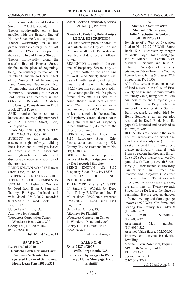with the southerly line of East 40th Street, 125.2 feet to a point;

Thence southwardly, on a line parallel with the Easterly line of Hoover Street, 60 feet to a point;

Thence westwardly, on a line parallel with the easterly line of East 40th Street, 125.2 feet to a point in the easterly line of Hoover Street;

Thence northwardly, along the easterly line of Hoover Street, 60 feet to the place of beginning, being the southerly 25 feet of Lot Number 31 and the northerly 35 feet of Lot Number 32 of the Andrews Land Company Subdivision No. 17, and being part of Reserve Tract Number 63, according to a plot of said subdivision recorded in the Office of the Recorder of Deeds for Erie County, Pennsylvania, in Deed Book 227, at Page 9.

SAID premises being commonly known and municipally numbered as 4027 Hoover Street, Erie, Pennsylvania

BEARING ERIE COUNTY TAX INDEX NO. (18) 5378-101.

SUBJECT to all restrictions, easements, rights-of-way, building lines, leases and oil and gas leases of record and to all easements and rights-of-way visible and discoverable upon an inspection of the premises.

BEING KNOWN AS: 4027 Hoover Street, Erie, PA 16504

PROPERTY ID NO.: 18-5378-101 TITLE TO SAID PREMISES IS VESTED IN Deborah Wisinski by Deed from Brian J. Sage and Tammy P. Sage, husband and wife dated 07/12/2007 recorded 07/13/2007 in Deed Book 1431 Page 1612.

Udren Law Offices, P.C. Attorneys for Plaintiff

Woodcrest Corporation Center 11 Woodcrest Road, Suite 200

Cherry Hill, NJ 08003-3620

856-669-5400

Jul. 30 and Aug. 6, 13

**SALE NO. 40 Ex. #11740 of 2010 Deutsche Bank National Trust Company As Trustee for the Registered Holder of Soundview Home Loan Trust 2006-EQ1** 

#### **Asset-Backed Certifi cates, Series 2006-EQ1, Plaintiff v.**

#### **Sandra L. Wolukis, Defendant(s) LEGAL DESCRIPTION**

ALL that certain piece or parcel of land situate in the City of Erie and Commonwealth of Pennsylvania, bounded and described as follows, to-wit:

BEGINNING at a point in the east line of Raspberry Street, sixty-six (66) feet north of the north line of West 32nd Street; thence east parallel with West 32nd Street, ninety and twenty hundredths (90.20) feet more or less to a point; thence north parallel with Raspberry Street, thirty-one (31) feet to a point; thence west parallel with West 32nd Street, ninety and sixtyone hundredths (90.61) feet more or less to a point in the east line of Raspberry Street; thence south along the east line of Raspberry Street, thirty-one (31) feet to the place of beginning.

BEING commonly known as 3117 Raspberry Street, Erie, Pennsylvania and bearing Erie County Tax Assessment Index No. (19) 6038-126.

BEING the same premises conveyed to the mortgagors herein by Deed recorded this date.

BEING KNOWN AS: 3117 Raspberry Street, Erie, PA 16508 PROPERTY ID NO.: 19060038012600

TITLE TO PREMISES IS VESTED IN Sandra L. Wolukis by Deed from Tiffany P. Miller and Joel F. Miller dated 06/29/2006 recorded 07/03/2009 in Deed Book 1341 Page 1852.

Udren Law Offices, P.C. Attorneys for Plaintiff Woodcrest Corporation Center 11 Woodcrest Road, Suite 200 Cherry Hill, NJ 08003-3620 856-669-5400

Jul. 30 and Aug. 6, 13

# **SALE NO. 41**

**Ex. #10137 of 2007 Wells Fargo Bank, N.A., successor by merger to Wells Fargo Home Mortgage, Inc., Plaintiff**

#### **v. Michael P. Schutte a/k/a Michael F. Schutte and Julie A. Schutte, Defendant SHERIFF'S SALE**

By virtue of a Writ of Execution filed to No. 10137-07 Wells Fargo Bank, N.A., successor by merger to Wells Fargo Home Mortgage, Inc. v. Michael P. Schutte a/k/a Michael F. Schutte and Julie A. Schutte, Owner(s) of property situated in City of Erie, Erie County, Pennsylvania, being 920 West 27th Street, Erie, PA 16508

ALL that certain piece or parcel of land situate in the City of Erie, County of Erie and Commonwealth of Pennsylvania, being part of Lots Numbers thirty and thirty-one (30- 31) of Block B of Purports Nos. 4 and 5 of the real estate of Samuel Barr, deceased, as subdivided by Henry Souther et al., as per plot recorded in Deed Book No. 48, page 562, bounded and described as follows, to-wit:

BEGINNING at a point in the north line of Twenty-seventh Street one hundred and seventy-five (175) feet west of the west line of Plum Street; thence northwardly parallel with Plum Street, one hundred and thirtyfive (135) feet; thence westwardly, parallel with Twenty-seventh Street, forty (40) feet; thence southwardly parallel with Plum Street, one hundred and thirty-five (135) feet to the north line of Twenty-seventh Street; and thence eastwardly, along the north line of Twenty-seventh Street, forty (40) feet to the place of beginning. Having erected thereon a frame dwelling and frame garage known as 920 West 27th Street and bearing Erie County Tax Index # (19) 60-39-322.

TAX PARCEL NUMBER: (19) 6039-322 Assessment Map number: (19) 6039-322 Assessed Value figure: \$52,050.00 Improvement thereon: Residential Dwelling Martha E. Von Rosenstiel, Esquire 649 South Avenue, Unit #6 P.O. Box 822 Secane, PA 19018 (610) 328-2887

Jul. 30 and Aug. 6, 13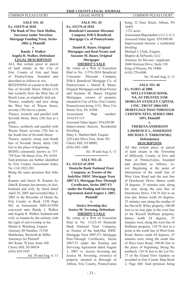**SALE NO. 42 Ex. #10379 of 2010 The Bank of New York Mellon, Successor under NovaStar Mortgage Funding Trust, Series 2005-2, Plaintiff** 

#### **v. Randy J. Walker Angela R. Walker, Defendant LEGAL DESCRIPTION**

ALL that certain piece or parcel of land situate in the City of Erie, County of Erie and State of Pennsylvania, bounded and described as follows to wit: BEGINNING at a point in the South line of Seventh Street, fifteen (15) feet westerly from the West line of Beech Lane, as originally laid out;

Thence, southerly and now along the West line of Wayne Street, seventy (70) feet to a point;

Thence, westerly and parallel with Seventh Street, thirty (30) feet to a point;

Thence, northerly and parallel with Wayne Street, seventy (70) feet to the South line of Seventh Street;

Thence, easterly along said South line of Seventh Street, thirty (30) feet to the place of beginning.

BEING commonly known as 757- 759 East 7th Street, Erie, PA 16503 Said premises are further identified by Erie County Assessment Index No. (14) 1022-201 .

Being the same premises that John R.

Kramer and Janice R. Kramer by John R. Kramer, her attorney-in-fact, husband and wife, by Deed dated April 29, 2005 and recorded May 2, 2005 in the Recorder of Deeds for Erie County in Book 1230 Page 962 as Instrument 2005-013996 conveyed unto Randy J. Walker and Angela R. Walker, husband and wife, as tenants by the entirety with the right of survivorship in fee. Martin S. Weisberg, Esquire Attorney ID Number: 51520 Mattleman, Weinroth & Miller Attorneys for Plaintiff 401 Route 70 East, Suite 100 Cherry Hill, NJ 08034 (856) 429-5507

Jul. 30 and Aug. 6, 13

**SALE NO. 43 Ex. #11576 of 2010 Benefi cial Consumer Discount Company D/B/A Benefi cial Mortgage Co. of Pennsylvania v.**

**Daniel R. Bauer, Original Mortgagor and Real Owner and Suzanne M. Bauer, Original Mortgagor SHERIFF'S SALE**

By virtue of a Writ of Execution filed to No.  $11576-2010$  Beneficial Consumer Discount Company D/B/A Beneficial Mortgage Co. of Pennsylvania v. Daniel R. Bauer, Original Mortgagor and Real Owner and Suzanne M. Bauer, Original Mortgagor, owners of property situated in City of Erie, Erie County, Pennsylvania being 1151, West 31st Street, Erie, PA 16508 Assessment Map number: 19-6219-115 Assessed Value figure: \$54,030.00 Improvement thereon: Residential Dwelling Mary L. Harbert-Bell, Esquire 220 Lake Drive East, Suite 301 Cherry Hill, NJ 08002 (856) 482-1400

Jul. 30 and Aug. 6, 13

## **SALE NO. 45**

**Ex. #11323 of 2010 Deutsche Bank National Trust Company, as Trustee of the IndyMac IMSC Mortgage Trust 2007-F3, Mortgage Pass-Through Certifi cates, Series 2007-F3 under the Pooling and Servicing Agreement dated August 1, 2007, Plaintiff**

**v.**

**Jessica Sevening aka Jessica M. Sevening, Defendant SHERIFF'S SALE**

By virtue of a Writ of Execution filed to No. 11323-10 Deutsche Bank National Trust Company, as Trustee of the IndyMac IMSC Mortgage Trust 2007-F3, Mortgage Pass-Through Certificates, Series 2007-F3 under the Pooling and Servicing Agreement dated August 1, 2007 vs. Jessica Sevening aka Jessica M. Sevening, owner(s) of property situated in Borough of Albion, Erie County, Pennsylvania

being 32 Deer Street, Albion, PA 16401 .1722 acres

Assessment Map number: (1) 1-2-11-2 Assessed Value figure: \$59,090.00 Improvement thereon: a residential dwelling

Michael J. Clark, Esquire Shapiro & DeNardo, LLC Attorney for Movant / Applicant 3600 Horizon Drive, Suite 150 King of Prussia, PA 19406 (610) 278-6800

Jul. 30 and Aug. 6, 13

**SALE NO. 46 Ex. #12821 of 2006 WELLS FARGO BANK, NA, AS TRUSTEE FOR MORGAN STANLEY CAPITAL I INC. TRUST 2004-OP1 MORTGAGE PASS-THROUGH CERTIFICATES, SERIES 2004- OP1, Plaintiff**

**v.** 

### **THERESA ANDERSON LAWRENCE L. ANDERSON MICHAEL T. TARKOWSKI, Defendant(s) DESCRIPTION**

All that certain piece or parcel of land situate in the Township of Millcreek, County of Erie and State of Pennsylvania, bounded and described as follows, towit: Beginning at the point of intersection of the south line of West Gore Road and the east line of Dorchester Drive; thence south 24 degrees, 35 minutes east, along the east, along the east line of Dorchester Drive, 130.76 feet to an iron pin; thence north 64 degrees, 25 minutes east along the residue of the David B. Wiley property, 100.00 foot to an iron pipe in the west line of the Russell Huffman property; thence north 24 degrees, 35 minutes west, along the west line of Huffman property, 130.76 feet to a point in the south line of West Gore Road; thence south 64 degrees, 25 minutes west, along the south line of West Gore Road, 100.00 feet to the place of beginning. Being the northerly 130.76 feet to the Lot No. 17 of the Grand View Gardens as recorded in Erie County Map Book 2, Page 460. Said premises being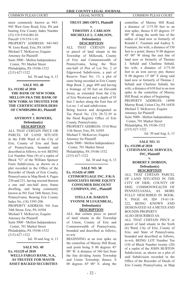more commonly known as 943- 945 West Gore Road, Erie, PA and bearing Erie County Index Number (33) 119-519.0-001-01. Parcel# 119-519-1-01 PROPERTY ADDRESS: 943-945 W. Gore Road, Erie, PA 16509 Michael T. McKeever, Esquire Attorney for Plaintiff Suite 5000 - Mellon Independence Center, 701 Market Street Philadelphia, PA 19106-1532 (215) 627-1322

Jul. 30 and Aug. 6, 13

#### **SALE NO. 48 Ex. #11302 of 2010 THE BANK OF NEW YORK MELLON FKA THE BANK OF NEW YORK AS TRUSTEE FOR THE CERTIFICATEHOLDERS OF CWMBS2004-R1, Plaintiff**

#### **v. ANTHONY J. BOWERS, Defendant(s) DESCRIPTION**

ALL THAT CERTAIN PIECE OR PARCEL OF LAND SITUATE in the Fifth Ward of the City of Erie, County of Erie and State of Pennsylvania, bounded and described as follows, to-wit: BEING Lot Number Nine (9) of a replot of Block "U" of the William Spencer Farm Subdivision, as shown on a plot recorded in the Office of the Recorder of Deeds of Erie County, Pennsylvania in Map Book 4, Pages 230 and 231, having erected thereon a one and one-half story frame dwelling, and being commonly known as 941 East 34th Street, Erie, Pennsylvania. Bearing Erie County Index No. (18) 5395-208. PROPERTY ADDRESS: 941 East 34th Street, Erie, PA 16504 Michael T. McKeever, Esquire Attorney for Plaintiff Suite 5000 - Mellon Independence Center, 701 Market Street Philadelphia, PA 19106-1532 (215) 627-1322 Jul. 30 and Aug. 6, 13

**SALE NO. 49 Ex. #11229 of 2010 WELLS FARGO BANK, N.A., AS TRUSTEE FOR MASTR ASSET BACKED SECURITIES** 

#### **TRUST 2005-OPT1, Plaintiff v.**

# **TIMOTHY J. CARLSON MICHELLE L. CARLSON, Defendant(s)**

**DESCRIPTION**<br>HAT **CERTAIN** ALL THAT CERTAIN piece or parcel of land situate in the Township of Millcreek, County of Erie and Commonwealth of Pennsylvania, being the West one-half of Plot of Lot No. 2 of Edgewood Subdivision, a part of Reserve Tract No. 13, a plot of same being recorded in Erie County Map Book 2, page 499 and having a frontage of 50 feet on Eleventh Street, as extended from the City of Erie Westward and a depth of 93 feet 3 inches along the East line of Lot no. 1 of said subdivision. Being known and designated as Tax Parcel No. (33) 28-72-39 in the Deed Registry Office of Erie County, Pennsylvania. PROPERTY ADDRESS: 3318 West 11th Street, Erie, PA 16505 Michael T. McKeever, Esquire Attorney for Plaintiff Suite 5000 - Mellon Independence Center, 701 Market Street Philadelphia, PA 19106-1532 (215) 627-1322

Jul. 30 and Aug. 6, 13

#### **SALE NO. 50 Ex. #15426 of 2009 CITIMORTGAGE INC. F/K/A ASSOCIATES HOME EQUITY CONSUMER DISCOUNT COMPANY, INC., Plaintiff v.**

### **STELLA R. DARZEN YVONNE M LUGENBEAL, Defendant(s) DESCRIPTION**

ALL that certain piece or parcel of land situate in the Township of Union, County of Erie and Commonwealth of Pennsylvania, bounded and described as follows, to-wit:

BEGINNING at an iron spike on the centerline of Murray Hill Road, said point being S 00 degrees 45' 00° W. A distance of 360 feet from the line dividing Amity Township and Union Township; thence, S 00 degrees 45' 00° E. along the

centerline of Murray Hill Road, a distance of 1175.50 feet to an iron spike; thence S 85 degrees 15' 00" W along the north line of the radius of land now or formerly of Ronald C. Fountain and Audrey S. Fountain, his wife, a distance of 530 feet to a point; thence N 00 degrees 45' 00" W along the east line of land now or formerly of Thomas J. Sebald and Charlene Sebald, his wife, a distance of 1175.50 feet to an iron survey pin; thence N 00 degrees 15' 00" E along said land now or formerly of Thomas J. Sebald and Charlene Sebald, his wife, a distance of 630 feet to an iron spike in the centerline of Murray Hill Road, or place of beginning PROPERTY ADDRESS: 14990 Murray Road, Union City, PA 16438 Michael T. McKeever, Esquire Attorney for Plaintiff Suite 5000 - Mellon Independence Center, 701 Market Street

Philadelphia, PA 19106-1532 (215) 627-1322

Jul. 30 and Aug. 6, 13

**SALE NO. 51 Ex. #11290 of 2010 CITIFINANCIAL SERVICES, INC, Plaintiff v.** 

#### **ROBERT F. DOBSON, Defendant(s) DESCRIPTION**

ALL THAT CERTAIN PARCEL OF LAND SITUATED IN THE CITY OF ERIE, COUNTY OF ERIE, COMMONWEALTH OF PENNSYLVANIA, AS MORE FULLY DESCRIBED IN BOOK: 9, PAGE 69, ID# 19-61-18- 222, BEING KNOWN AND DESIGNATED AS A METES AND BOUNDS PROPERTY ALSO DESCRIBED AS:

ALL THAT CERTAIN PIECE or parcel of land situate in the Sixth (6) Ward, City of Erie, County of Erie, and State of Pennsylvania, bounded and described as follows, to-wit; BEING LOT Number Ten (10) of Block Number twenty (20) of a replot of the JOHN BURTON Subdivision, as shown on a plot of said Subdivision recorded in the Office of the Recorder of Deeds of Erie County Pennsylvania, in Map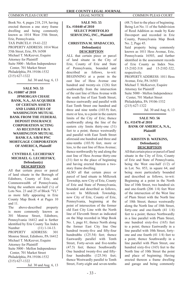Book No. 4, pages 218, 219, having erected thereon a one story frame dwelling and being commonly known as 1014 West 35th Street, Erie, Pennsylvania. TAX PARCEL#: 19-61-222 PROPERTY ADDRESS: 1014 West 35th Street, Erie, PA 16508 Michael T. McKeever, Esquire Attorney for Plaintiff Suite 5000 - Mellon Independence Center, 701 Market Street Philadelphia, PA 19106-1532 (215) 627-1322 Jul. 30 and Aug. 6, 13

**SALE NO. 53 Ex. #10807 of 2010 JPMORGAN CHASE BANK, N.A., AS ACQUIRER OF CERTAIN ASSETS AND LIABILITIES OF WASHINGTON MUTUAL BANK FROM THE FEDERAL DEPOSIT INSURANCE CORPORATION ACTING AS RECEIVER F/K/A WASHINGTON MUTUAL BANK F.A. S/B/M PNC MORTGAGE CORPORATION OF AMERICA, Plaintiff**

#### **v. CYNTHIA E. LECHEFSKY MICHAEL G. LECHEFSKY, Defendant(s) DESCRIPTION**

All that certain piece or parcel of land situate in the Borough of Edinboro, County of Erie, and Commonwealth of Pennsylvania, being the southern one-half (½) of Lots Nos. 23 and 25 of Block "YL" as more fully appearing in Erie County Map Book 4 at Pages 10 and 11.

The above-described property is more commonly known as 301 Monroe Street, Edinboro, Pennsylvania 16412 and is further identified by Erie County Tax Index Number (11) 1-14-13. PROPERTY ADDRESS: 301 Monroe Street, Edinboro, PA 16412 Michael T. McKeever, Esquire Attorney for Plaintiff Suite 5000 - Mellon Independence Center, 701 Market Street Philadelphia, PA 19106-1532 (215) 627-1322

Jul. 30 and Aug. 6, 13

#### **SALE NO. 55 Ex. #10440 of 2010 SELECT PORTFOLIO SERVICING, INC., Plaintiff v. CHRISTINA M. SPADACCIO,**

# **Defendant(s) DESCRIPTION**

ALL that certain piece or parcel of land situate in the City of Erie, County of Erie and State of Pennsylvania, bounded and described as follows, to-wit: BEGINNING at a point in the east line of Hess Avenue one hundred and twenty-six (126) feet southwardly from the intersection of the east line of Hess Avenue with the south line of East Tenth Street; thence eastwardly and parallel with East Tenth Street one hundred and three and nine tenths (103.9) feet, more or less, to a point in the eastern limits of the City of Erie; thence southwardly along the line of the eastern city limits thirty-one (31) feet to a point; thence westwardly and parallel with East Tenth Street aforesaid one hundred and three and nine-tenths (103.9) feet, more or less, to the east line of Hess Avenue; thence northwardly by and along the east line of Hess Avenue thirty-one (31) feet to the place of beginning and having erected thereon a twostory frame dwelling.

ALSO all that certain piece or parcel of land situate in Millcreek Township, now City of Erie, County of Erie and State of Pennsylvania, bounded and described as follows, to-wit: In Millcreek Township, now City of Erie, County of Erie, Pennsylvania, beginning at the point of intersection of the former old East City Line with the North line of Eleventh Street as indicated on the Map recorded in Map Book No. 1, page 81; thence North along the former East City line One hundred twenty-five and fifty-four hundredths (125.54) feet; thence Eastwardly parallel with Tenth Street, Forty-seven and five-tenths (47.5) feet; thence Southwardly One hundred twenty-five and fiftyfour hundredths (125.54) feet; thence Westwardly parallel to Tenth Street, Forty-eight and seven-tenths

(48.7) feet to the place of beginning. Being Lot No. 11 of the Subdivision of Reed Addition as made by Kate Davenport and recorded in Erie County, Pennsylvania Map Book No. 2, Page 45.

Said property being commonly known as 1011 Hess Avenue, Erie, Pennsylvania 16503, and further identified in the assessment records of Erie County as Index Nos. 15-2102-318 and 15-2102-322, respectively.

PROPERTY ADDRESS: 1011 Hess Avenue, Erie, PA 16503 Michael T. McKeever, Esquire

Attorney for Plaintiff

Suite 5000 - Mellon Independence

 Center, 701 Market Street Philadelphia, PA 19106-1532

(215) 627-1322

Jul. 30 and Aug. 6, 13

### **SALE NO. 56 Ex. #11478 of 2010 BANK OF AMERICA, N.A., Plaintiff**

#### **v. KRISTIN D. WATKINS, Defendant(s) DESCRIPTION**

All that certain piece or parcel of land situate in the City of Erie, County of Erie and State of Pennsylvania, being the West one-half (1/2) of in Lot. No. 853, in square 64, and being more particularly bounded and described as follows, to-wit: Beginning at a point in the North line of 10th Street, two hundred six and one-fourth (206 1/4) feet West of the intersection of the West line of Plum Street with the North line of 10th Street; thence westwardly along the North line of 10th Street, forty-one and one-fourth (41 1/4) feet to a point; thence Northwardly in a line parallel with Plum Street, one hundred sixty-five (165) feet to a point; thence Eastwardly in a line parallel with 10th Street, fortyone and one fourth (41 1/4) feet to a point; thence Southwardly in a line parallel with Plum Street, one hundred sixty-five  $(165)$  feet to the North line of 10th Street the point and place of beginning; Having erected thereon a frame dwelling and garage and being commonly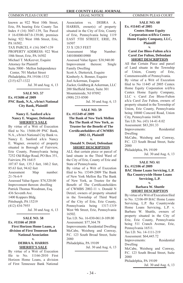known as 922 West 10th Street, Erie, PA bearing Erie County Tax Index # (16) 3047-139, Tax Parcel # 16-0300-047.0-139.00, premises being: 922 West 10th Street, Erie, PA 16502. TAX PARCEL #: (16) 3047-139 PROPERTY ADDRESS: 922 West 10th Street, Erie, PA 16502 Michael T. McKeever, Esquire Attorney for Plaintiff Suite 5000 - Mellon Independence Center, 701 Market Street Philadelphia, PA 19106-1532

(215) 627-1322

Jul. 30 and Aug. 6, 13

**SALE NO. 57 Ex. #15686 of 2009 PNC Bank, N.A., s/b/m/t National City Bank, Plaintiff**

#### **v. Nancy E. Sanford a/k/a Nancy E. Wagner, Defendant SHERIFF'S SALE**

By virtue of a Writ of Execution filed to No. 15686-09 PNC Bank. N.A., s/b/m/t National City Bank vs. Nancy E. Sanford a/k/a Nancy E. Wagner, owner(s) of property situated in Borough of Fairview, Erie County, Pennsylvania being 7252 Old Ridge Road, PO Box 351, Fairview, PA 16415 107.87 feet, 135.3 feet, 160.2 feet, 85.63 feet, 94.62 feet Assessment Map number: 21-76-6-9 Assessed Value figure: \$74,320.00 Improvement thereon: dwelling Patrick Thomas Woodman, Esq. 436 Seventh Ave. 1400 Koppers Bldg. Pittsburgh, PA 15219 (412) 434-7955 Jul. 30 and Aug. 6, 13

**SALE NO. 58 Ex. #11166 of 2010 First Horizon Home Loans, a division of First Tennessee Bank National Association v.** 

### **DEBRA A. HARRIS SHERIFF'S SALE**

By virtue of a Writ of Execution file to No. 11166-2010 First Horizon Home Loans, a division of First Tennessee Bank National

#### **ERIE COUNTY LEGAL JOURNAL** COMMON PLEAS COURT LEGAL NOTICE COMMON PLEAS COURT

Association vs. DEBRA A. HARRIS, owner(s) of property situated in the City of Erie, County of Erie, Pennsylvania being 1119 EAST 5TH STREET, ERIE, PA 16507 33 X 120.5 FEET Assessment Map Number: 14010040010900 Assessed Value figure: \$38,940.00 Improvement thereon: Single Family Dwelling Scott A. Dietterick, Esquire Kimberly A. Bonner, Esquire Joel Ackerman, Esquire Zucker, Goldberg & Ackerman, LLC 200 Sheffield Street, Suite 301 Mountainside, NJ 07092 (908) 233-8500

Jul. 30 and Aug. 6, 13

**SALE NO. 59 Ex. #15349 of 2009 The Bank of New York Mellon fka The Bank of New York, as Trustee for the Benefit of The Certifi cateholders of CWMBS 2002-11, Plaintiff**

#### **v.**

#### **Donald N. Detzel, Defendant SHORT DESCRIPTION**

ALL that certain piece or parcel of land situate in the Third Ward of the City of Erie, County of Erie and State of Pennsylvania. By virtue of a Writ of Execution

filed to  $No$  15349-2009 The Bank of New York Mellon fka The Bank of New York, as Trustee for the Benefit of The Certificateholders of CWMBS 2002-11 v. Donald N Detzel, owners of property situated in the Township of Third Ward of the City of Erie, Erie County, Pennsylvania being 1317-1319 West 9th Street, Erie, Pennsylvania 16502.

Tax I.D. No. 16-030-061.0-109.00 Assessment: \$77,364.78

Improvements: Residential Dwelling McCabe, Weisberg and Conway, P.C. 123 South Broad Street, Suite 2080

Philadelphia, PA 19109

Jul. 30 and Aug. 6, 13

#### **SALE NO. 60 Ex. #11445 of 2005 Centex Home Equity Corporation n/d/b/a Centex Home Equity Company, LLC, Plaintiff**

#### **v. Carol Zoe Bloss-Fulton a/k/a Carol Zoe Fulton, Defendant SHORT DESCRIPTION**

All that Certain Piece and parcel of Land situate in the Township of Union, County of Erie, Commonwealth of Pennsylvania. By virtue of a Writ of Execution filed to No 11445 of 2005 Centex Home Equity Corporation n/d/b/a Centex Home Equity Company, LLC v. Carol Zoe Bloss-Fulton a/k/a Carol Zoe Fulton, owners of property situated in the Township of Union, Erie County, Pennsylvania being 10040 Concord Road, Union City, Pennsylvania 16438. Tax I.D. No. (43) 14-41-8.02 Assessment: \$83,201.33 Improvements: Residential Dwelling McCabe, Weisberg and Conway, P.C. 123 South Broad Street, Suite 2080 Philadelphia, PA 19109

Jul. 30 and Aug. 6, 13

**SALE NO. 61 Ex. #12106 of 2009 BAC Home Loans Servicing, L.P. fka Countrywide Home Loans Servicing, L.P.**

**v.**

#### **Barbara W. Shuttle SHORT DESCRIPTION**

By virtue of a Writ of Execution filed to No. 12106-09 BAC Home Loans Servicing, L.P. fka Countrywide Home Loans Servicing, L.P. v. Barbara W. Shuttle, owners of property situated in the City of Erie, Erie County, Pennsylvania being 511 Cranch Avenue, Erie, Pennsylvania 16511. Tax I.D. No. 14-1111-219 Assessment: \$64,445.72 Improvements: Residential Dwelling McCabe, Weisberg and Conway, P.C. 123 South Broad Street, Suite 2080 Philadelphia, PA 19109

Jul. 30 and Aug. 6, 13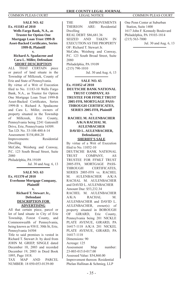**SALE NO. 62 Ex. #11183 of 2010 Wells Fargo Bank, N.A., as Trustee for Option One Mortgage Loan Trust 1999-B Asset-Backed Certifi cates, Series 1999-B, Plaintiff v.**

# **Richard A. Spadacene and Cara L. Miller, Defendant**

**SHORT DESCRIPTION**<br>ALL THAT CERTAIN **r** THAT CERTAIN piece or parcel of land situate in the Township of Millcreek, County of Erie and State of Pennsylvania. By virtue of a Writ of Execution filed to No. 11183-10 Wells Fargo Bank, N.A., as Trustee for Option One Mortgage Loan Trust 1999-B Asset-Backed Certificates, Series 1999-B v. Richard A. Spadacene and Cara L. Miller, owners of property situated in the Township of Millcreek, Erie County, Pennsylvania being 2241 Gatesmill Drive, Erie, Pennsylvania 16509. Tax I.D. No. 33-108-480.4-14 Assessment: \$154,484.20 Improvements: Residential Dwelling McCabe, Weisberg and Conway, P.C. 123 South Broad Street, Suite 2080 Philadelphia, PA 19109

Jul. 30 and Aug. 6, 13

#### **SALE NO. 63 Ex. #11370 of 2010 Everhome Mortgage Company, Plaintiff**

**v.**

#### **Richard T. Stewart Jr., Defendant DESCRIPTION FOR ADVERTISING**

All that certain piece, parcel or lot of land situate in City of Erie Township, Forest County, and Commonwealth of Pennsylvania, being known as 938 E. 30th St, Erie, Pennsylvania 16504

Title to said premises is vested in Richard T. Stewart Jr. by deed from JOHN M. GRIEP, SINGLE dated December 10, 2003 and recorded December 19, 2003 in Deed Book 1095, Page 1818.

TAX MAP AND PARCEL NUMBER: 18 050-053-0139-00

**ERIE COUNTY LEGAL JOURNAL** COMMON PLEAS COURT LEGAL NOTICE COMMON PLEAS COURT

> THE IMPROVEMENTS THEREON ARE: Residential Dwelling REAL DEBT: \$86,681.36 SEIZED AND TAKEN IN EXECUTION AS THE PROPERTY OF: Richard T. Stewart Jr. McCabe, Weisberg and Conway, P.C. 123 South Broad Street, Suite 2080 Philadelphia, PA 19109 (215) 790-1010

Jul. 30 and Aug. 6, 13

**SALE NO. 65 Ex. #11052 of 2010 DEUTSCHE BANK NATIONAL TRUST COMPANY, AS TRUSTEE FOR FFMLT TRUST 2005-FF8, MORTGAGE PASS-THROUGH CERTIFICATES, SERIES 2005-FF8, Plaintiff v. RACHEL M. AULENBACHER A/K/A RACHAL M. AULENBACHER** 

#### **DAVID L. AULENBACHER, Defendant(s) SHERIFF'S SALE**

By virtue of a Writ of Execution fi led to No. 11052-10 DEUTSCHE BANK NATIONAL TRUST COMPANY, AS TRUSTEE FOR FFMLT TRUST 2005-FF8, MORTGAGE PASS-THROUGH CERTIFICATES, SERIES 2005-FF8 vs. RACHEL M. AULENBACHER A/K/A RACHAL M. AULENBACHER and DAVID L. AULENBACHER Amount Due: \$53,232.34 RACHEL M. AULENBACHER A/K/A RACHAL M. AULENBACHER and DAVID L. AULENBACHER, owner(s) of property situated in BOROUGH OF GIRARD, Erie County, Pennsylvania being 201 NICKLE PLATE AVENUE, GIRARD, PA 16417-1118 A/K/A 201 NICKEL PLATE AVENUE, GIRARD, PA 16417-1118 Dimensions: 90 Acreage: 125 Assessment Map number: 23-003-015.0-017.00 Assessed Value: \$54,860.00 Improvement thereon: Residential Phelan Hallinan & Schmieg, LLP

One Penn Center at Suburban Station, Suite 1400 1617 John F. Kennedy Boulevard Philadelphia, PA 19103-1814 (215) 563-7000 Jul. 30 and Aug. 6, 13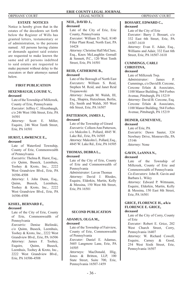#### **ESTATE NOTICES**

Notice is hereby given that in the estates of the decedents set forth below the Register of Wills has granted letters, testamentary or of administration, to the persons named. All persons having claims or demands against said estates are requested to make known the same and all persons indebted to said estates are requested to make payment without delay to the executors or their attorneys named below.

### **FIRST PUBLICATION**

#### **HIXENBAUGH, LOUISE V., deceased**

Late of the Township of Millcreek, County of Erie, Pennsylvania *Executor:* Jeffrey C. Hixenbaugh, c/o 246 West 10th Street, Erie, PA 16501

*Attorney:* Scott E. Miller, Esquire, 246 West Tenth Street, Erie, PA 16501

# **HURST, LAWRENCE E.,**

#### **deceased**

Late of Waterford Township, County of Erie, Commonwealth of Pennsylvania

*Executrix:* Thelma R. Hurst, Esq., c/o Quinn, Buseck, Leemhuis, Toohey & Kroto, Inc., 2222 West Grandview Blvd., Erie, PA 16506-4508

*Attorney:* I. John Dunn, Esq., Quinn, Buseck, Leemhuis, Toohey & Kroto, Inc., 2222 West Grandview Blvd., Erie, PA 16506-4508

#### **KISIEL, BERNARD F., deceased**

Late of the City of Erie, County of Erie, Commonwealth of Pennsylvania

*Executrix:* Denise Bielinski, c/o Quinn, Buseck, Leemhuis, Toohey & Kroto, Inc., 2222 West Grandview Blvd., Erie, PA 16506 *Attorney:* James F. Toohey, Esquire, Quinn, Buseck, Leemhuis, Toohey & Kroto, Inc., 2222 West Grandview Blvd., Erie, PA 16506-4508

Late of the City of Erie, Erie County, Pennsylvania

*Executor:* William D. Neil, 8140 Filter Plant Road, North East, PA

*Attorney:* Christine Hall McClure, Esq., Knox McLaughlin Gornall & Sennett, P.C., 120 West Tenth Street, Erie, PA 16501 **REID, CATHERINE B.,**

Late of the Borough of North East *Executors:* William S. Reid, Stephen M. Reid, and Janet Reid

*Attorney:* Joseph M. Walsh, III, Esq., Shapira, Hutzelman, Berlin, Ely, Smith and Walsh, 305 West 6th Street, Erie, PA 16507 **PATTERSON, JAMES J.,**

Late of the Township of Girard *Executrix:* Colleen Ann Patterson, c/o Malcolm L. Pollard, 4845 W. Lake Rd., Erie, PA 16505 *Attorney:* Malcolm L. Pollard, Esq., 4845 W. Lake Rd., Erie, PA 16505

Late of the City of Erie, County of Erie and Commonwealth of

*Administrator:* Lavon Thomas *Attorney:* David J. Rhodes, Esquire, Elderkin, Martin, Kelly & Messina, 150 West 8th Street,

**THOMAS, DEBRA L.,**

Pennsylvania

Erie, PA 16501

**NEIL, DAVID J., deceased**

16428

**deceased**

**deceased**

**deceased**

Trojanowski

#### **BOSSART, EDWARD C., deceased**

Late of the City of Erie *Executor:* Barry J. Bossart, c/o 332 East 6th Street, Erie, PA 16507-1610 *Attorney:* Evan E. Adair, Esq., Williams and Adair, 332 East 6th Street, Erie, PA 16507-1610

### **CUMMINGS, CARLI CHRISTINA,**

### **deceased**

Late of Millcreek Twp. *Administrator:* James P. Cummings, c/o David B. Cercone, Cercone Erlain & Associates, 1100 Manor Building, 564 Forbes Avenue, Pittsburgh, PA 15219 *Attorney:* David B. Cercone, Esq. Cercone Erlain & Associates, 1100 Manor Building, 564 Forbes Avenue, Pittsburgh, PA 15219

#### **DEINER, GENEVIEVE, deceased**

Late of Erie, PA *Executrix:* Dawn Sauter, 324 Newbury Drive, Monroeville, PA 15146 *Attorney:* None

# **GAVIN, LeANNA N.,**

### **deceased**

Late of the Township of Millcreek, County of Erie and Commonwealth of Pennsylvania *Co-Executors:* John R. Gavin and Barbara L. Wiley *Attorney:* Edward P. Wittmann, Esquire, Elderkin, Martin, Kelly

& Messina, 150 East 8th Street, Erie, PA 16501

#### **GRICE, FLORENCE H., a/k/a FLORENCE E. GRICE, deceased**

Late of the City of Corry, County of Erie

*Executor:* Robert E. Grice, 202 West Church Street, Corry, Pennsylvania 16407

*Attorney:* W. Richard Cowell, Esquire, Carney & Good, 254 West Sixth Street, Erie, Pennsylvania 16507

- 36 -

Late of the Township of Fairview, County of Erie, Commonwealth

**SECOND PUBLICATION**

*Executor:* Daniel E. Adamus, 5605 Langmore Lane, Erie, PA

*Attorneys:* MacDonald, Illig, Jones & Britton, LLP, 100 State Street, Suite 700, Erie, Pennsylvania 16507-1459

**ADAMUS, OLGA M.,**

of Pennsylvania

**deceased**

16505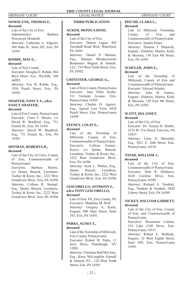#### **NOWACZYK, THOMAS F., THIRD PUBLICATION deceased**

Late of the City of Erie *Administrator:* Barbara Nowaczyk Monteith *Attorney:* Catherine A. Allgeier, 504 State St., Suite 203, Erie, PA 16501

# **ROHDE, MAY E.,**

**deceased**

Late of Erie County *Executor:* Douglas E. Rohde, 864 Bryn Mawr Ave., Wycliffe, OH 44092 *Attorney:* Eric B. Rohde, Esq., 1926 Peach Street, Erie, PA 16502

# **SHAFFER, NANCY A., a/k/a NANCY SHAFFER,**

### **deceased**

Late of Erie County, Pennsylvania *Executor:* Clara F. Moore, c/o David W. Bradford, Esq., 731 French St., Erie, PA 16501 *Attorney:* David W. Bradford, Esq., 731 French St., Erie, PA 16501

#### **SPITMAN, ROBERTA H., deceased**

Late of the City of Corry, County of Erie, Commonwealth of Pennsylvania

*Executrix:* Barbara Morris, c/o Quinn, Buseck, Leemhuis, Toohey & Kroto, Inc., 2222 West Grandview Blvd., Erie, PA 16506 *Attorney:* Colleen R. Stumpf, Esq., Quinn, Buseck, Leemhuis, Toohey & Kroto, Inc., 2222 West Grandview Blvd., Erie, PA 16506

### **ACKER, MONICA ROSE, deceased**

Late of the City of Erie *Executor:* Dennis Lagan, 445 Townhall Road West, Waterford, PA 16441

*Attorney:* Daniel P. Marnen, Esq., Marnen Mioduszewski Bordonaro Wagner & Sinnott, LLC, 516 West Tenth Street, Erie, PA 16502

### **CHITESTER, GEORGE G., deceased**

Late of Erie County, Pennsylvania *Executor:* Jane Ellen Krahe, 511 Vermont Avenue, Erie, Pennsylvania 16505 *Attorney:* Charles D. Agresti, Esq., Agresti Law Firm, 4934 Peach Street, Erie, Pennsylvania 16509

#### **FEENEY, COLIN E., deceased**

Late of the Township of Millcreek, County of Erie, Commonwealth of Pennsylvania *Executrix:* Colleen Feeney-Keyes, c/o Quinn, Buseck, Leemhuis, Toohey & Kroto, Inc., 2222 West Grandview Blvd., Erie, PA 16506

*Attorney:* Scott L. Wallen, Esq., Quinn, Buseck, Leemhuis, Toohey & Kroto, Inc., 2222 West Grandview Blvd., Erie, PA 16506

#### **GIACOBELLO, ANTHONY F., a/k/a TONY GIACOBELLO, deceased**

Late of Erie, PA, Erie County, PA *Executrix:* Madeline M. Wolf *Attorney:* Gregory A. Karle, Esquire, 900 State Street, Suite 103, Erie, PA 16501

#### **PARKS, AGNES T., deceased**

Late of the Township of Millcreek, Erie County, Pennsylvania *Executor:* Robert W. Parks, 11 Jerry Drive, Plattsburgh, NY 12901 *Attorney:* Christine Hall McClure, Esq., Knox McLaughlin Gornall & Sennett, P.C., 120 West Tenth Street, Erie, PA 16501

#### **PISCOR, CLARA L., deceased**

Late of Millcreek Township, County of Erie and Commonwealth of Pennsylvania *Executrix:* Juanita Ponce *Attorney:* Thomas J. Minarcik, Esquire, Elderkin, Martin, Kelly & Messina, 150 East 8th Street, Erie, PA 16501

# **SCHULER, JOHN E.,**

### **deceased**

Late of the Township of Millcreek, County of Erie and Commonwealth of Pennsylvania *Executor:* Edward Schuler *Attorney:* John B. Enders, Esquire, Elderkin, Martin, Kelly & Messina, 150 East 8th Street, Erie, PA 16501

# **SCOTT, IDA JANET,**

### **deceased**

Late of the City of Erie *Executor:* Dr. Vernon D. Dobbs, 5274 W. 51st Street, Fairview, PA 16415

*Attorney:* Larry D. Meredith, Esq., 2021 E. 20th Street, Erie, Pennsylvania 16510

#### **TATAR, WILLIAM J., deceased**

Late of the City of Erie, Commonwealth of Pennsylvania *Executor:* Dale R. DeMarco, 4226 Caroline Drive, Erie, Pennsylvania 16509 *Attorney:* Richard A. Vendetti, Esq., Vendetti & Vendetti, 3820 Liberty Street, Erie, PA 16509

### **VICKEY, WILLIAM GARRETT, deceased**

Late of the City of Erie, County of Erie, and Commonwealth of Pennsylvania

*Executrix:* Rosemarie Culmer, 219 Lake Cliff Drive, Erie, Pennsylvania 16511

*Attorney:* Robert E. McBride, Esquire, 32 West Eighth Street, Suite 600, Erie, Pennsylvania 16501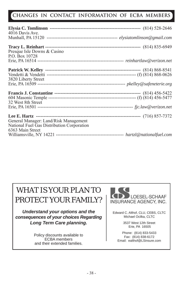# **CHANGES IN CONTACT INFORMATION OF ECBA MEMBERS**

| 4016 Davis Ave.                            |  |
|--------------------------------------------|--|
|                                            |  |
|                                            |  |
| Presque Isle Downs & Casino                |  |
| P.O. Box 10728                             |  |
|                                            |  |
|                                            |  |
|                                            |  |
| 3820 Liberty Street                        |  |
|                                            |  |
|                                            |  |
|                                            |  |
|                                            |  |
| 32 West 8th Street                         |  |
|                                            |  |
|                                            |  |
|                                            |  |
| General Manager: Land/Risk Management      |  |
| National Fuel Gas Distribution Corporation |  |
| 6363 Main Street                           |  |
|                                            |  |
|                                            |  |

# WHAT IS YOUR PLAN TO PROTECT YOUR FAMILY?

*Understand your options and the consequences of your choices Regarding Long Term Care planning.*

> Policy discounts available to ECBA members and their extended families.



Edward C. Althof, CLU, CEBS, CLTC Michael Ocilka, CLTC

> 3537 West 12th Street Erie, PA 16505

Phone: (814) 833-5433 Fax: (814) 838-6172 Email: ealthof@LSinsure.com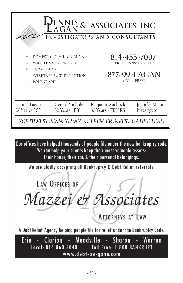| <b>PENNIS &amp; ASSOCIATES, INC.</b><br>INVESTIGATORS AND CONSULTANTS |                                                                                   |                                         |                                                                   |  |  |  |
|-----------------------------------------------------------------------|-----------------------------------------------------------------------------------|-----------------------------------------|-------------------------------------------------------------------|--|--|--|
| ⊕<br>♦<br><b>SURVEILLANCE</b><br>♠<br>♦<br><b>POLYGRAPH</b><br>♦      | DOMESTIC, CIVIL, CRIMINAL<br><b>WRITTEN STATEMENTS</b><br>WIRETAP/"BUG" DETECTION |                                         | 814-455-7007<br>ERIE, PENNSYLVANIA<br>877-99-LAGAN<br>(TOLL-FREE) |  |  |  |
| Dennis Lagan<br>27 Years - PSP                                        | Gerald Nichols<br>30 Years - FBI                                                  | Benjamin Suchocki<br>30 Years - FBI/IRS | Jennifer Mazur<br>Investigator                                    |  |  |  |
| NORTHWEST PENNSYLVANIA'S PREMIER INVESTIGATIVE TEAM                   |                                                                                   |                                         |                                                                   |  |  |  |

Our offices have helped thousands of people file under the new bankruptcy code. We can help your clients keep their most valuable assets: their house, their car, & their personal belongings.

We are gladly accepting all Bankruptcy & Debt Relief referrals.

LAW OFFICES OF Mazzei et Associates **ATTORNEYS AT LAW** 

A Debt Relief Agency helping people file for relief under the Bankruptcy Code.

Clarion · Meadville Erie **Sharon** Warren Local: 814-860-3040 **Toll Free: 1-800-BANKRUPT** www.debt-be-gone.com